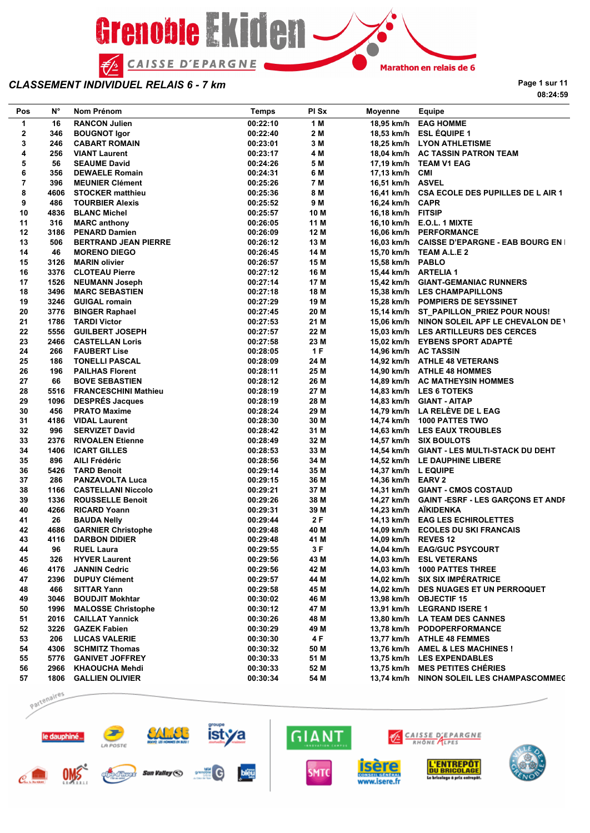

**Page 1 sur 11 08:24:59**

| Pos                     | Ν°   | Nom Prénom                                   | <b>Temps</b>         | PI Sx | Moyenne              | Equipe                                                          |
|-------------------------|------|----------------------------------------------|----------------------|-------|----------------------|-----------------------------------------------------------------|
| 1                       | 16   | <b>RANCON Julien</b>                         | 00:22:10             | 1 M   |                      | 18,95 km/h EAG HOMME                                            |
| $\overline{\mathbf{2}}$ | 346  | <b>BOUGNOT Igor</b>                          | 00:22:40             | 2 M   |                      | 18,53 km/h ESL ÉQUIPE 1                                         |
| 3                       | 246  | <b>CABART ROMAIN</b>                         | 00:23:01             | 3 M   |                      | 18,25 km/h LYON ATHLETISME                                      |
| 4                       | 256  | <b>VIANT Laurent</b>                         | 00:23:17             | 4 M   |                      | 18,04 km/h AC TASSIN PATRON TEAM                                |
| 5                       | 56   | <b>SEAUME David</b>                          | 00:24:26             | 5 M   |                      | 17,19 km/h TEAM V1 EAG                                          |
| 6                       | 356  | <b>DEWAELE Romain</b>                        | 00:24:31             | 6 M   | 17,13 km/h CMI       |                                                                 |
| $\overline{7}$          | 396  | <b>MEUNIER Clément</b>                       | 00:25:26             | 7 M   | 16,51 km/h ASVEL     |                                                                 |
| 8                       | 4606 | <b>STOCKER matthieu</b>                      | 00:25:36             | 8 M   |                      | 16,41 km/h CSA ECOLE DES PUPILLES DE L AIR 1                    |
| 9                       | 486  | <b>TOURBIER Alexis</b>                       | 00:25:52             | 9 M   | 16,24 km/h CAPR      |                                                                 |
| 10                      | 4836 | <b>BLANC Michel</b>                          | 00:25:57             | 10 M  | 16,18 km/h FITSIP    |                                                                 |
| 11                      | 316  | <b>MARC</b> anthony                          | 00:26:05             | 11 M  |                      | 16,10 km/h E.O.L. 1 MIXTE                                       |
| 12                      |      | 3186 PENARD Damien                           | 00:26:09             | 12 M  |                      | 16,06 km/h PERFORMANCE                                          |
| 13                      | 506  | <b>BERTRAND JEAN PIERRE</b>                  | 00:26:12             | 13 M  |                      | 16,03 km/h CAISSE D'EPARGNE - EAB BOURG EN I                    |
| 14                      | 46   | <b>MORENO DIEGO</b>                          | 00:26:45             | 14 M  |                      | 15,70 km/h TEAM A.L.E 2                                         |
| 15                      |      | 3126 MARIN olivier                           | 00:26:57             | 15 M  | 15,58 km/h PABLO     |                                                                 |
| 16                      |      | 3376 CLOTEAU Pierre                          | 00:27:12             | 16 M  | 15,44 km/h ARTELIA 1 |                                                                 |
| 17                      |      | 1526 NEUMANN Joseph                          | 00:27:14             | 17 M  |                      | 15,42 km/h GIANT-GEMANIAC RUNNERS                               |
| 18                      |      | 3496 MARC SEBASTIEN                          | 00:27:18             | 18 M  |                      | 15,38 km/h LES CHAMPAPILLONS                                    |
| 19                      |      | 3246 GUIGAL romain                           | 00:27:29             | 19 M  |                      | 15,28 km/h POMPIERS DE SEYSSINET                                |
| 20                      |      | 3776 BINGER Raphael                          | 00:27:45             | 20 M  |                      | 15,14 km/h ST_PAPILLON_PRIEZ POUR NOUS!                         |
| 21                      |      | 1786 TARDI Victor                            | 00:27:53             | 21 M  |                      | 15,06 km/h NINON SOLEIL APF LE CHEVALON DE \                    |
| 22                      | 5556 | <b>GUILBERT JOSEPH</b>                       | 00:27:57             | 22 M  |                      | 15,03 km/h LES ARTILLEURS DES CERCES                            |
| 23                      |      | 2466 CASTELLAN Loris                         | 00:27:58             | 23 M  |                      | 15,02 km/h EYBENS SPORT ADAPTE                                  |
| 24                      | 266  | <b>FAUBERT Lise</b>                          | 00:28:05             | 1F    |                      | 14,96 km/h AC TASSIN                                            |
| 25                      | 186  | <b>TONELLI PASCAL</b>                        | 00:28:09             | 24 M  |                      | 14,92 km/h ATHLE 48 VETERANS                                    |
| 26                      | 196  | <b>PAILHAS Florent</b>                       | 00:28:11             | 25 M  |                      | 14,90 km/h ATHLE 48 HOMMES                                      |
| 27                      | 66   | <b>BOVE SEBASTIEN</b>                        | 00:28:12             | 26 M  |                      | 14,89 km/h AC MATHEYSIN HOMMES                                  |
| 28                      | 5516 | <b>FRANCESCHINI Mathieu</b>                  | 00:28:19             | 27 M  |                      | 14,83 km/h LES 6 TOTEKS                                         |
| 29                      |      | 1096 DESPRÉS Jacques                         | 00:28:19             | 28 M  |                      | 14,83 km/h GIANT - AITAP                                        |
| 30                      | 456  | <b>PRATO Maxime</b>                          | 00:28:24             | 29 M  |                      | 14,79 km/h LA RELÈVE DE L EAG                                   |
| 31                      |      | 4186 VIDAL Laurent                           | 00:28:30             | 30 M  |                      | 14,74 km/h 1000 PATTES TWO                                      |
| 32                      | 996  | <b>SERVIZET David</b>                        | 00:28:42             | 31 M  |                      | 14,63 km/h LES EAUX TROUBLES                                    |
| 33                      |      | 2376 RIVOALEN Etienne                        | 00:28:49             | 32 M  |                      | 14,57 km/h SIX BOULOTS                                          |
| 34                      | 1406 | <b>ICART GILLES</b>                          | 00:28:53             | 33 M  |                      | 14,54 km/h GIANT - LES MULTI-STACK DU DEHT                      |
| 35                      | 896  | AILI Frédéric                                | 00:28:56             | 34 M  |                      | 14,52 km/h LE DAUPHINE LIBERE                                   |
| 36                      |      | 5426 TARD Benoit                             | 00:29:14             | 35 M  | 14,37 km/h L EQUIPE  |                                                                 |
| 37                      | 286  | <b>PANZAVOLTA Luca</b>                       | 00:29:15             | 36 M  | 14,36 km/h EARV 2    |                                                                 |
| 38                      |      | 1166 CASTELLANI Niccolo                      | 00:29:21             | 37 M  |                      | 14,31 km/h GIANT - CMOS COSTAUD                                 |
| 39                      |      | 1336 ROUSSELLE Benoit                        | 00:29:26             | 38 M  |                      | 14,27 km/h GAINT - ESRF - LES GARÇONS ET ANDF                   |
| 40                      | 4266 | <b>RICARD Yoann</b>                          | 00:29:31             | 39 M  |                      | 14,23 km/h AÏKIDENKA                                            |
| 41                      | 26   | <b>BAUDA Nelly</b>                           | 00:29:44             | 2 F   |                      | 14,13 km/h EAG LES ECHIROLETTES                                 |
| 42                      |      | 4686 GARNIER Christophe                      | 00:29:48             | 40 M  |                      | 14,09 km/h ECOLES DU SKI FRANCAIS                               |
| 43                      | 4116 | <b>DARBON DIDIER</b>                         | 00:29:48             | 41 M  | 14,09 km/h REVES 12  |                                                                 |
| 44                      | 96   | <b>RUEL Laura</b>                            | 00:29:55             | 3F    |                      | 14,04 km/h EAG/GUC PSYCOURT                                     |
| 45                      | 326  | <b>HYVER Laurent</b>                         | 00:29:56             | 43 M  |                      | 14,03 km/h ESL VETERANS                                         |
|                         | 4176 | <b>JANNIN Cedric</b>                         |                      | 42 M  |                      | 14,03 km/h 1000 PATTES THREE                                    |
| 46<br>47                | 2396 | <b>DUPUY Clément</b>                         | 00:29:56<br>00:29:57 | 44 M  |                      | 14,02 km/h SIX SIX IMPÉRATRICE                                  |
| 48                      | 466  |                                              |                      | 45 M  |                      |                                                                 |
| 49                      | 3046 | <b>SITTAR Yann</b><br><b>BOUDJIT Mokhtar</b> | 00:29:58<br>00:30:02 | 46 M  |                      | 14,02 km/h DES NUAGES ET UN PERROQUET<br>13,98 km/h OBJECTIF 15 |
|                         | 1996 |                                              |                      |       |                      | 13,91 km/h LEGRAND ISERE 1                                      |
| 50                      |      | <b>MALOSSE Christophe</b>                    | 00:30:12             | 47 M  |                      |                                                                 |
| 51                      |      | 2016 CAILLAT Yannick                         | 00:30:26             | 48 M  |                      | 13,80 km/h LA TEAM DES CANNES                                   |
| 52                      | 3226 | <b>GAZEK Fabien</b>                          | 00:30:29             | 49 M  |                      | 13,78 km/h PODOPERFORMANCE                                      |
| 53                      | 206  | <b>LUCAS VALERIE</b>                         | 00:30:30             | 4 F   |                      | 13,77 km/h ATHLE 48 FEMMES                                      |
| 54                      |      | 4306 SCHMITZ Thomas                          | 00:30:32             | 50 M  |                      | 13,76 km/h AMEL & LES MACHINES !                                |
| 55                      | 5776 | <b>GANIVET JOFFREY</b>                       | 00:30:33             | 51 M  |                      | 13,75 km/h LES EXPENDABLES                                      |
| 56                      | 2966 | <b>KHAOUCHA Mehdi</b>                        | 00:30:33             | 52 M  |                      | 13,75 km/h MES PETITES CHERIES                                  |
| 57                      |      | 1806 GALLIEN OLIVIER                         | 00:30:34             | 54 M  | 13,74 km/h           | NINON SOLEIL LES CHAMPASCOMMEC                                  |

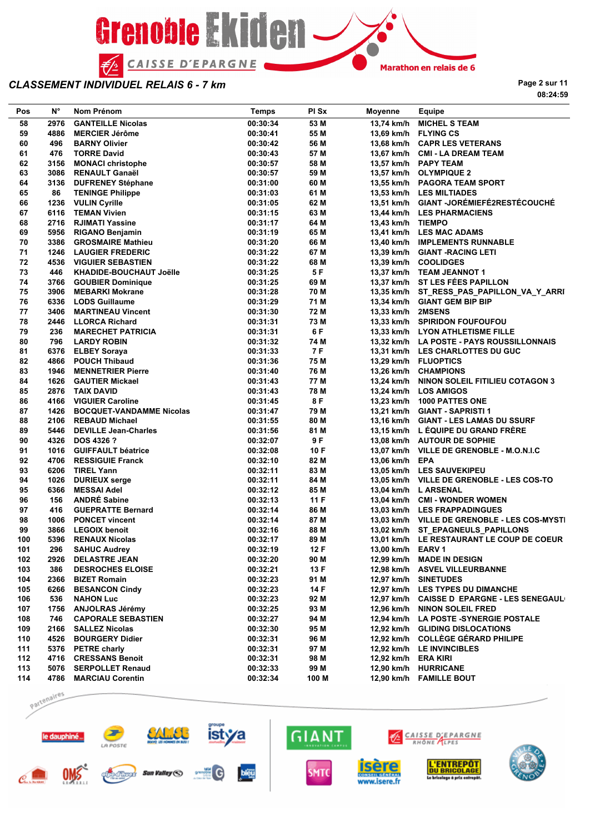

**Page 2 sur 11 08:24:59**

| Pos       | $N^{\circ}$ | Nom Prénom                                | <b>Temps</b>         | PI Sx        | <b>Moyenne</b>      | <b>Equipe</b>                                                                  |
|-----------|-------------|-------------------------------------------|----------------------|--------------|---------------------|--------------------------------------------------------------------------------|
| 58        | 2976        | <b>GANTEILLE Nicolas</b>                  | 00:30:34             | 53 M         |                     | 13,74 km/h MICHEL S TEAM                                                       |
| 59        | 4886        | <b>MERCIER Jérôme</b>                     | 00:30:41             | 55 M         |                     | 13,69 km/h FLYING CS                                                           |
| 60        | 496         | <b>BARNY Olivier</b>                      | 00:30:42             | 56 M         |                     | 13,68 km/h CAPR LES VETERANS                                                   |
| 61        | 476         | <b>TORRE David</b>                        | 00:30:43             | 57 M         |                     | 13,67 km/h CMI - LA DREAM TEAM                                                 |
| 62        | 3156        | <b>MONACI christophe</b>                  | 00:30:57             | 58 M         |                     | 13,57 km/h PAPY TEAM                                                           |
| 63        |             | 3086 RENAULT Ganaël                       | 00:30:57             | 59 M         |                     | 13,57 km/h OLYMPIQUE 2                                                         |
| 64        |             | 3136 DUFRENEY Stéphane                    | 00:31:00             | 60 M         |                     | 13,55 km/h PAGORA TEAM SPORT                                                   |
| 65        | 86          | <b>TENINGE Philippe</b>                   | 00:31:03             | 61 M         |                     | 13,53 km/h LES MILTIADES                                                       |
| 66        |             | 1236 VULIN Cyrille                        | 00:31:05             | 62 M         |                     | 13,51 km/h GIANT -JORÉMIEFÉ2RESTÉCOUCHÉ                                        |
| 67        |             | 6116 TEMAN Vivien                         | 00:31:15             | 63 M         |                     | 13,44 km/h LES PHARMACIENS                                                     |
| 68        |             | 2716 RJIMATI Yassine                      | 00:31:17             | 64 M         | 13,43 km/h TIEMPO   |                                                                                |
| 69        |             | 5956 RIGANO Benjamin                      | 00:31:19             | 65 M         |                     | 13,41 km/h LES MAC ADAMS                                                       |
| 70        |             | 3386 GROSMAIRE Mathieu                    | 00:31:20             | 66 M         |                     | 13,40 km/h IMPLEMENTS RUNNABLE                                                 |
| 71        | 1246        | <b>LAUGIER FREDERIC</b>                   | 00:31:22             | 67 M         |                     | 13,39 km/h GIANT - RACING LETI                                                 |
| 72        |             | 4536 VIGUIER SEBASTIEN                    | 00:31:22             | 68 M         |                     | 13,39 km/h COOLIDGES                                                           |
| 73        | 446         | KHADIDE-BOUCHAUT Joëlle                   | 00:31:25             | 5 F          |                     | 13,37 km/h TEAM JEANNOT 1                                                      |
| 74        |             | 3766 GOUBIER Dominique                    | 00:31:25             | 69 M         |                     | 13,37 km/h ST LES FEES PAPILLON                                                |
| 75        | 3906        | MEBARKI Mokrane                           | 00:31:28             | 70 M         |                     | 13,35 km/h ST_RESS_PAS_PAPILLON_VA_Y_ARRI                                      |
| 76        |             | 6336 LODS Guillaume                       | 00:31:29             | 71 M         |                     | 13,34 km/h GIANT GEM BIP BIP                                                   |
| 77        | 3406        | <b>MARTINEAU Vincent</b>                  | 00:31:30             | 72 M         | 13,33 km/h 2MSENS   |                                                                                |
| 78        |             | 2446 LLORCA Richard                       | 00:31:31             | 73 M         |                     | 13,33 km/h SPIRIDON FOUFOUFOU                                                  |
| 79        | 236         | <b>MARECHET PATRICIA</b>                  | 00:31:31             | 6 F          |                     | 13,33 km/h LYON ATHLETISME FILLE                                               |
| 80        | 796         | <b>LARDY ROBIN</b>                        | 00:31:32             | 74 M         |                     | 13,32 km/h LA POSTE - PAYS ROUSSILLONNAIS                                      |
| 81        |             | 6376 ELBEY Soraya                         | 00:31:33             | 7 F          |                     | 13,31 km/h LES CHARLOTTES DU GUC                                               |
| 82        |             | 4866 POUCH Thibaud                        | 00:31:36             | 75 M         |                     | 13,29 km/h FLUOPTICS                                                           |
| 83        | 1946        | <b>MENNETRIER Pierre</b>                  | 00:31:40             | 76 M         |                     | 13,26 km/h CHAMPIONS                                                           |
| 84        |             | 1626 GAUTIER Mickael                      | 00:31:43             | 77 M         |                     | 13,24 km/h NINON SOLEIL FITILIEU COTAGON 3                                     |
| 85        |             | 2876 TAIX DAVID                           | 00:31:43             | 78 M         |                     | 13,24 km/h LOS AMIGOS                                                          |
| 86        |             | 4166 VIGUIER Caroline                     | 00:31:45             | 8 F          |                     | 13,23 km/h 1000 PATTES ONE                                                     |
| 87        |             | 1426 BOCQUET-VANDAMME Nicolas             | 00:31:47             | 79 M         |                     | 13,21 km/h GIANT - SAPRISTI 1                                                  |
| 88        |             | 2106 REBAUD Michael                       | 00:31:55             | 80 M         |                     | 13,16 km/h GIANT - LES LAMAS DU SSURF                                          |
| 89        |             | 5446 DEVILLE Jean-Charles                 | 00:31:56             | 81 M         |                     | 13,15 km/h L EQUIPE DU GRAND FRERE                                             |
| 90        |             | 4326 DOS 4326 ?                           | 00:32:07             | 9 F          |                     | 13,08 km/h AUTOUR DE SOPHIE                                                    |
| 91        |             | 1016 GUIFFAULT béatrice                   | 00:32:08             | 10 F         |                     | 13,07 km/h VILLE DE GRENOBLE - M.O.N.I.C                                       |
| 92        |             | 4706 RESSIGUIE Franck                     | 00:32:10             | 82 M         | 13,06 km/h EPA      |                                                                                |
| 93        |             | 6206 TIREL Yann                           | 00:32:11             | 83 M         |                     | 13,05 km/h LES SAUVEKIPEU                                                      |
| 94        |             | 1026 DURIEUX serge                        | 00:32:11             | 84 M         |                     | 13,05 km/h VILLE DE GRENOBLE - LES COS-TO                                      |
| 95        | 6366        | MESSAI Adel                               | 00:32:12             | 85 M         |                     | 13,04 km/h L ARSENAL                                                           |
| 96        | 156         | <b>ANDRÉ Sabine</b>                       | 00:32:13             | 11F          |                     | 13,04 km/h CMI - WONDER WOMEN                                                  |
| 97        | 416         | <b>GUEPRATTE Bernard</b>                  | 00:32:14             | 86 M         |                     | 13,03 km/h LES FRAPPADINGUES                                                   |
| 98        |             | 1006 PONCET vincent                       | 00:32:14             | 87 M         |                     | 13,03 km/h VILLE DE GRENOBLE - LES COS-MYSTI                                   |
| 99<br>100 |             | 3866 LEGOIX benoit<br>5396 RENAUX Nicolas | 00:32:16<br>00:32:17 | 88 M<br>89 M |                     | 13,02 km/h ST_EPAGNEULS_PAPILLONS<br>13,01 km/h LE RESTAURANT LE COUP DE COEUR |
| 101       | 296         |                                           | 00:32:19             | 12 F         | 13,00 km/h EARV 1   |                                                                                |
| 102       |             | <b>SAHUC Audrey</b><br>2926 DELASTRE JEAN | 00:32:20             | 90 M         |                     | 12,99 km/h MADE IN DESIGN                                                      |
| 103       | 386         | <b>DESROCHES ELOISE</b>                   | 00:32:21             | 13 F         |                     | 12,98 km/h ASVEL VILLEURBANNE                                                  |
| 104       |             | 2366 BIZET Romain                         | 00:32:23             | 91 M         |                     | 12,97 km/h SINETUDES                                                           |
| 105       | 6266        | <b>BESANCON Cindy</b>                     | 00:32:23             | 14 F         |                     | 12,97 km/h LES TYPES DU DIMANCHE                                               |
| 106       | 536         | <b>NAHON Luc</b>                          | 00:32:23             | 92 M         |                     | 12,97 km/h CAISSE D EPARGNE - LES SENEGAUL                                     |
| 107       |             | 1756 ANJOLRAS Jérémy                      | 00:32:25             | 93 M         |                     | 12,96 km/h NINON SOLEIL FRED                                                   |
| 108       | 746         | <b>CAPORALE SEBASTIEN</b>                 | 00:32:27             | 94 M         |                     | 12,94 km/h LA POSTE -SYNERGIE POSTALE                                          |
| 109       |             | 2166 SALLEZ Nicolas                       | 00:32:30             | 95 M         |                     | 12.92 km/h GLIDING DISLOCATIONS                                                |
| 110       |             | 4526 BOURGERY Didier                      | 00:32:31             | 96 M         |                     | 12,92 km/h COLLEGE GERARD PHILIPE                                              |
| 111       |             | 5376 PETRE charly                         | 00:32:31             | 97 M         |                     | 12,92 km/h LE INVINCIBLES                                                      |
| 112       |             | 4716 CRESSANS Benoit                      | 00:32:31             | 98 M         | 12,92 km/h ERA KIRI |                                                                                |
| 113       |             | 5076 SERPOLLET Renaud                     | 00:32:33             | 99 M         |                     | 12,90 km/h HURRICANE                                                           |
| 114       |             | 4786 MARCIAU Corentin                     | 00:32:34             | 100 M        |                     | 12,90 km/h FAMILLE BOUT                                                        |

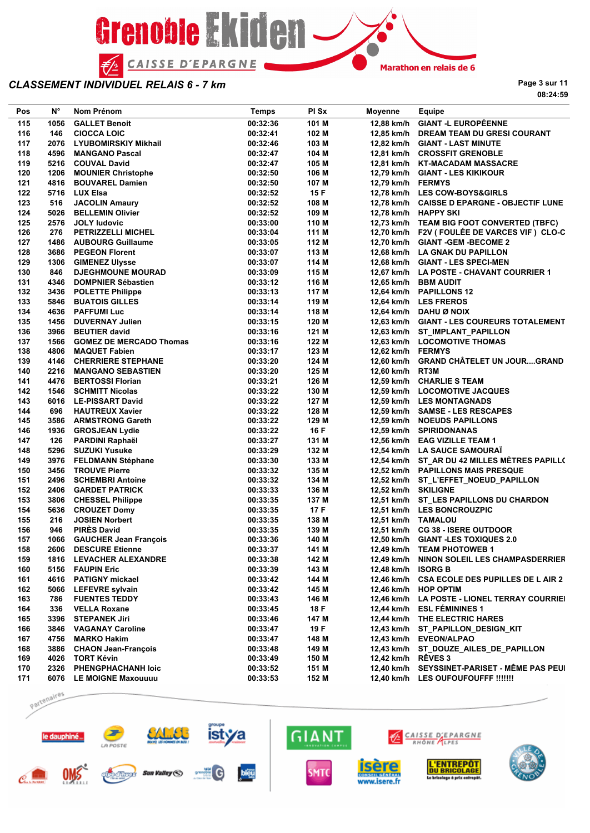

**Page 3 sur 11 08:24:59**

| Pos | N°   | Nom Prénom                   | Temps    | PI Sx | Moyenne             | Equipe                                       |
|-----|------|------------------------------|----------|-------|---------------------|----------------------------------------------|
| 115 | 1056 | <b>GALLET Benoit</b>         | 00:32:36 | 101 M |                     | 12,88 km/h GIANT -L EUROPÉENNE               |
| 116 | 146  | <b>CIOCCA LOIC</b>           | 00:32:41 | 102 M |                     | 12,85 km/h DREAM TEAM DU GRESI COURANT       |
| 117 |      | 2076 LYUBOMIRSKIY Mikhail    | 00:32:46 | 103 M |                     | 12,82 km/h GIANT - LAST MINUTE               |
| 118 | 4596 | <b>MANGANO Pascal</b>        | 00:32:47 | 104 M |                     | 12,81 km/h CROSSFIT GRENOBLE                 |
| 119 |      | 5216 COUVAL David            | 00:32:47 | 105 M |                     | 12,81 km/h KT-MACADAM MASSACRE               |
| 120 |      | 1206 MOUNIER Christophe      | 00:32:50 | 106 M |                     | 12,79 km/h GIANT - LES KIKIKOUR              |
| 121 |      | 4816 BOUVAREL Damien         | 00:32:50 | 107 M | 12,79 km/h FERMYS   |                                              |
| 122 |      | 5716 LUX Elsa                | 00:32:52 | 15 F  |                     | 12,78 km/h LES COW-BOYS&GIRLS                |
| 123 | 516  | <b>JACOLIN Amaury</b>        | 00:32:52 | 108 M |                     | 12,78 km/h CAISSE D EPARGNE - OBJECTIF LUNE  |
| 124 |      | 5026 BELLEMIN Olivier        | 00:32:52 | 109 M |                     | 12,78 km/h HAPPY SKI                         |
| 125 |      | 2576 JOLY ludovic            | 00:33:00 | 110 M |                     | 12,73 km/h TEAM BIG FOOT CONVERTED (TBFC)    |
| 126 | 276  | <b>PETRIZZELLI MICHEL</b>    | 00:33:04 | 111 M |                     | 12,70 km/h F2V (FOULÉE DE VARCES VIF) CLO-C  |
| 127 |      | 1486 AUBOURG Guillaume       | 00:33:05 | 112 M |                     | 12,70 km/h GIANT -GEM -BECOME 2              |
| 128 |      | 3686 PEGEON Florent          | 00:33:07 | 113 M |                     | 12,68 km/h LA GNAK DU PAPILLON               |
| 129 |      | 1306 GIMENEZ Ulysse          | 00:33:07 | 114 M |                     | 12,68 km/h GIANT - LES SPECI-MEN             |
| 130 | 846  | <b>DJEGHMOUNE MOURAD</b>     |          |       |                     |                                              |
| 131 |      |                              | 00:33:09 | 115 M |                     | 12,67 km/h LA POSTE - CHAVANT COURRIER 1     |
| 132 |      | 4346 DOMPNIER Sébastien      | 00:33:12 | 116 M |                     | 12,65 km/h BBM AUDIT                         |
|     |      | 3436 POLETTE Philippe        | 00:33:13 | 117 M |                     | 12,64 km/h PAPILLONS 12                      |
| 133 |      | 5846 BUATOIS GILLES          | 00:33:14 | 119 M |                     | 12,64 km/h LES FREROS                        |
| 134 |      | 4636 PAFFUMI Luc             | 00:33:14 | 118 M |                     | 12,64 km/h DAHU Ø NOIX                       |
| 135 | 1456 | <b>DUVERNAY Julien</b>       | 00:33:15 | 120 M |                     | 12,63 km/h GIANT - LES COUREURS TOTALEMENT   |
| 136 |      | 3966 BEUTIER david           | 00:33:16 | 121 M |                     | 12,63 km/h ST IMPLANT PAPILLON               |
| 137 |      | 1566 GOMEZ DE MERCADO Thomas | 00:33:16 | 122 M |                     | 12,63 km/h LOCOMOTIVE THOMAS                 |
| 138 |      | 4806 MAQUET Fabien           | 00:33:17 | 123 M | 12,62 km/h FERMYS   |                                              |
| 139 |      | 4146 CHERRIERE STEPHANE      | 00:33:20 | 124 M |                     | 12,60 km/h GRAND CHÂTELET UN JOURGRAND       |
| 140 |      | 2216 MANGANO SEBASTIEN       | 00:33:20 | 125 M | 12,60 km/h RT3M     |                                              |
| 141 | 4476 | <b>BERTOSSI Florian</b>      | 00:33:21 | 126 M |                     | 12,59 km/h CHARLIE S TEAM                    |
| 142 |      | <b>1546 SCHMITT Nicolas</b>  | 00:33:22 | 130 M |                     | 12,59 km/h LOCOMOTIVE JACQUES                |
| 143 |      | 6016 LE-PISSART David        | 00:33:22 | 127 M |                     | 12,59 km/h LES MONTAGNADS                    |
| 144 | 696  | <b>HAUTREUX Xavier</b>       | 00:33:22 | 128 M |                     | 12,59 km/h SAMSE - LES RESCAPES              |
| 145 |      | 3586 ARMSTRONG Gareth        | 00:33:22 | 129 M |                     | 12,59 km/h NOEUDS PAPILLONS                  |
| 146 |      | 1936 GROSJEAN Lydie          | 00:33:22 | 16 F  |                     | 12,59 km/h SPIRIDONANAS                      |
| 147 | 126  | PARDINI Raphaël              | 00:33:27 | 131 M |                     | 12,56 km/h EAG VIZILLE TEAM 1                |
| 148 |      | 5296 SUZUKI Yusuke           | 00:33:29 | 132 M |                     | 12,54 km/h LA SAUCE SAMOURAI                 |
| 149 |      | 3976 FELDMANN Stéphane       | 00:33:30 | 133 M |                     | 12,54 km/h ST_AR DU 42 MILLES MÉTRES PAPILLO |
| 150 |      | 3456 TROUVE Pierre           | 00:33:32 | 135 M |                     | 12,52 km/h PAPILLONS MAIS PRESQUE            |
| 151 |      | 2496 SCHEMBRI Antoine        | 00:33:32 | 134 M |                     | 12,52 km/h ST_L'EFFET_NOEUD_PAPILLON         |
| 152 |      | 2406 GARDET PATRICK          | 00:33:33 | 136 M | 12,52 km/h SKILIGNE |                                              |
| 153 |      | 3806 CHESSEL Philippe        | 00:33:35 | 137 M |                     | 12,51 km/h ST LES PAPILLONS DU CHARDON       |
| 154 |      | 5636 CROUZET Domy            | 00:33:35 | 17 F  |                     | 12,51 km/h LES BONCROUZPIC                   |
| 155 | 216  | <b>JOSIEN Norbert</b>        | 00:33:35 | 138 M | 12,51 km/h TAMALOU  |                                              |
| 156 | 946  | <b>PIRES David</b>           | 00:33:35 | 139 M |                     | 12,51 km/h CG 38 - ISERE OUTDOOR             |
| 157 |      | 1066 GAUCHER Jean François   | 00:33:36 | 140 M |                     | 12,50 km/h GIANT -LES TOXIQUES 2.0           |
| 158 |      | 2606 DESCURE Etienne         | 00:33:37 | 141 M |                     | 12,49 km/h TEAM PHOTOWEB 1                   |
| 159 |      | 1816 LEVACHER ALEXANDRE      | 00:33:38 | 142 M |                     | 12,49 km/h NINON SOLEIL LES CHAMPASDERRIER   |
| 160 |      | 5156 FAUPIN Eric             | 00:33:39 | 143 M | 12,48 km/h ISORG B  |                                              |
| 161 |      | 4616 PATIGNY mickael         | 00:33:42 | 144 M |                     | 12,46 km/h CSA ECOLE DES PUPILLES DE L AIR 2 |
| 162 |      | 5066 LEFEVRE sylvain         | 00:33:42 | 145 M |                     | 12,46 km/h HOP OPTIM                         |
| 163 | 786  | <b>FUENTES TEDDY</b>         | 00:33:43 | 146 M |                     | 12,46 km/h LA POSTE - LIONEL TERRAY COURRIEI |
| 164 |      | 336 VELLA Roxane             | 00:33:45 | 18 F  |                     | 12,44 km/h ESL FEMININES 1                   |
| 165 |      | 3396 STEPANEK Jiri           | 00:33:46 | 147 M |                     | 12,44 km/h THE ELECTRIC HARES                |
|     |      | 3846 VAGANAY Caroline        |          | 19 F  |                     |                                              |
| 166 |      |                              | 00:33:47 |       |                     | 12,43 km/h ST_PAPILLON_DESIGN_KIT            |
| 167 |      | 4756 MARKO Hakim             | 00:33:47 | 148 M |                     | 12,43 km/h EVEON/ALPAO                       |
| 168 |      | 3886 CHAON Jean-François     | 00:33:48 | 149 M |                     | 12,43 km/h ST_DOUZE_AILES_DE_PAPILLON        |
| 169 |      | 4026 TORT Kévin              | 00:33:49 | 150 M | 12,42 km/h RÊVES 3  |                                              |
| 170 |      | 2326 PHENGPHACHANH loic      | 00:33:52 | 151 M |                     | 12,40 km/h SEYSSINET-PARISET - MÊME PAS PEUI |
| 171 |      | 6076 LE MOIGNE Maxouuuu      | 00:33:53 | 152 M |                     | 12,40 km/h LES OUFOUFOUFFF !!!!!!!           |

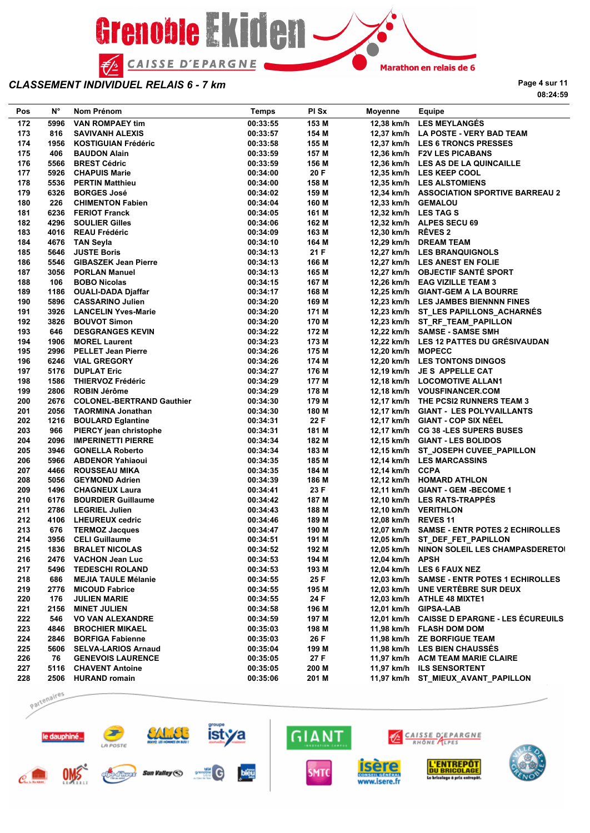

**Page 4 sur 11 08:24:59**

| Pos | N°   | Nom Prénom                     | <b>Temps</b> | PI Sx | <b>Moyenne</b>      | Equipe                                      |
|-----|------|--------------------------------|--------------|-------|---------------------|---------------------------------------------|
| 172 | 5996 | <b>VAN ROMPAEY tim</b>         | 00:33:55     | 153 M |                     | 12.38 km/h LES MEYLANGÉS                    |
| 173 | 816  | <b>SAVIVANH ALEXIS</b>         | 00:33:57     | 154 M |                     | 12,37 km/h LA POSTE - VERY BAD TEAM         |
| 174 | 1956 | KOSTIGUIAN Frédéric            | 00:33:58     | 155 M |                     | 12,37 km/h LES 6 TRONCS PRESSES             |
| 175 | 406  | <b>BAUDON Alain</b>            | 00:33:59     | 157 M |                     | 12,36 km/h F2V LES PICABANS                 |
| 176 | 5566 | <b>BREST Cédric</b>            | 00:33:59     | 156 M |                     | 12,36 km/h LES AS DE LA QUINCAILLE          |
| 177 |      | 5926 CHAPUIS Marie             | 00:34:00     | 20 F  |                     | 12,35 km/h LES KEEP COOL                    |
| 178 |      | 5536 PERTIN Matthieu           | 00:34:00     | 158 M |                     | 12,35 km/h LES ALSTOMIENS                   |
| 179 | 6326 | <b>BORGES José</b>             | 00:34:02     | 159 M |                     | 12,34 km/h ASSOCIATION SPORTIVE BARREAU 2   |
| 180 | 226  | <b>CHIMENTON Fabien</b>        | 00:34:04     | 160 M |                     | 12,33 km/h GEMALOU                          |
| 181 | 6236 | <b>FERIOT Franck</b>           | 00:34:05     | 161 M |                     | 12,32 km/h LES TAG S                        |
| 182 | 4296 | <b>SOULIER Gilles</b>          | 00:34:06     | 162 M |                     | 12,32 km/h ALPES SECU 69                    |
| 183 |      | 4016 REAU Frédéric             | 00:34:09     | 163 M | 12,30 km/h RÊVES 2  |                                             |
| 184 | 4676 | TAN Seyla                      | 00:34:10     | 164 M |                     | 12.29 km/h DREAM TEAM                       |
| 185 | 5646 | <b>JUSTE Boris</b>             | 00:34:13     | 21 F  |                     | 12,27 km/h LES BRANQUIGNOLS                 |
| 186 |      | 5546 GIBASZEK Jean Pierre      | 00:34:13     | 166 M |                     | 12,27 km/h LES ANEST EN FOLIE               |
| 187 |      | 3056 PORLAN Manuel             | 00:34:13     | 165 M |                     | 12,27 km/h OBJECTIF SANTE SPORT             |
| 188 | 106  | <b>BOBO Nicolas</b>            | 00:34:15     | 167 M |                     | 12,26 km/h EAG VIZILLE TEAM 3               |
| 189 |      | 1186 OUALI-DADA Djaffar        | 00:34:17     | 168 M |                     | 12,25 km/h GIANT-GEM A LA BOURRE            |
| 190 |      | 5896 CASSARINO Julien          | 00:34:20     | 169 M |                     | 12,23 km/h LES JAMBES BIENNNN FINES         |
| 191 | 3926 | <b>LANCELIN Yves-Marie</b>     | 00:34:20     | 171 M |                     | 12,23 km/h ST LES PAPILLONS ACHARNÉS        |
| 192 |      | 3826 BOUVOT Simon              | 00:34:20     | 170 M |                     | 12,23 km/h ST RF TEAM PAPILLON              |
| 193 | 646  | <b>DESGRANGES KEVIN</b>        | 00:34:22     | 172 M |                     | 12,22 km/h SAMSE - SAMSE SMH                |
| 194 |      | 1906 MOREL Laurent             | 00:34:23     | 173 M |                     | 12,22 km/h LES 12 PATTES DU GRÉSIVAUDAN     |
| 195 |      | 2996 PELLET Jean Pierre        | 00:34:26     | 175 M | 12,20 km/h MOPECC   |                                             |
| 196 |      | 6246 VIAL GREGORY              | 00:34:26     | 174 M |                     | 12,20 km/h LES TONTONS DINGOS               |
| 197 | 5176 | <b>DUPLAT Eric</b>             | 00:34:27     | 176 M |                     | 12,19 km/h JE S APPELLE CAT                 |
| 198 | 1586 | <b>THIERVOZ Frédéric</b>       | 00:34:29     | 177 M |                     | 12,18 km/h LOCOMOTIVE ALLAN1                |
| 199 | 2806 | ROBIN Jérôme                   | 00:34:29     | 178 M |                     | 12,18 km/h VOUSFINANCER.COM                 |
| 200 |      | 2676 COLONEL-BERTRAND Gauthier | 00:34:30     | 179 M |                     | 12,17 km/h THE PCSI2 RUNNERS TEAM 3         |
| 201 |      | 2056 TAORMINA Jonathan         | 00:34:30     | 180 M |                     | 12,17 km/h GIANT - LES POLYVAILLANTS        |
| 202 |      | 1216 BOULARD Eglantine         | 00:34:31     | 22 F  |                     | 12,17 km/h GIANT - COP SIX NÉEL             |
| 203 | 966  | PIERCY jean christophe         | 00:34:31     | 181 M |                     | 12,17 km/h CG 38 - LES SUPERS BUSES         |
| 204 |      | 2096 IMPERINETTI PIERRE        | 00:34:34     | 182 M |                     | 12,15 km/h GIANT - LES BOLIDOS              |
| 205 | 3946 | <b>GONELLA Roberto</b>         | 00:34:34     | 183 M |                     | 12,15 km/h ST_JOSEPH CUVEE_PAPILLON         |
| 206 | 5966 | ABDENOR Yahiaoui               | 00:34:35     | 185 M |                     | 12,14 km/h LES MARCASSINS                   |
| 207 |      | 4466 ROUSSEAU MIKA             | 00:34:35     | 184 M | 12,14 km/h CCPA     |                                             |
| 208 | 5056 | <b>GEYMOND Adrien</b>          | 00:34:39     | 186 M |                     | 12,12 km/h HOMARD ATHLON                    |
| 209 | 1496 | <b>CHAGNEUX Laura</b>          | 00:34:41     | 23 F  |                     | 12,11 km/h GIANT - GEM -BECOME 1            |
| 210 |      | 6176 BOURDIER Guillaume        | 00:34:42     | 187 M |                     | 12.10 km/h LES RATS-TRAPPÉS                 |
| 211 | 2786 | <b>LEGRIEL Julien</b>          | 00:34:43     | 188 M |                     | 12,10 km/h VERITHLON                        |
| 212 |      | 4106 LHEUREUX cedric           | 00:34:46     | 189 M | 12,08 km/h REVES 11 |                                             |
| 213 | 676  | <b>TERMOZ Jacques</b>          | 00:34:47     | 190 M |                     | 12,07 km/h SAMSE - ENTR POTES 2 ECHIROLLES  |
| 214 |      | 3956 CELI Guillaume            | 00:34:51     | 191 M |                     | 12,05 km/h ST_DEF_FET_PAPILLON              |
| 215 | 1836 | <b>BRALET NICOLAS</b>          | 00:34:52     | 192 M |                     | 12,05 km/h NINON SOLEIL LES CHAMPASDERETOI  |
| 216 |      | 2476 VACHON Jean Luc           | 00:34:53     | 194 M | 12,04 km/h APSH     |                                             |
| 217 | 5496 | <b>TEDESCHI ROLAND</b>         | 00:34:53     | 193 M |                     | 12,04 km/h LES 6 FAUX NEZ                   |
| 218 | 686  | <b>MEJIA TAULE Mélanie</b>     | 00:34:55     | 25 F  |                     | 12,03 km/h SAMSE - ENTR POTES 1 ECHIROLLES  |
| 219 | 2776 | <b>MICOUD Fabrice</b>          | 00:34:55     | 195 M |                     | 12,03 km/h UNE VERTEBRE SUR DEUX            |
| 220 | 176  | <b>JULIEN MARIE</b>            | 00:34:55     | 24 F  |                     | 12,03 km/h ATHLE 48 MIXTE1                  |
| 221 | 2156 | <b>MINET JULIEN</b>            | 00:34:58     | 196 M |                     | 12,01 km/h GIPSA-LAB                        |
| 222 | 546  | <b>VO VAN ALEXANDRE</b>        | 00:34:59     | 197 M |                     | 12,01 km/h CAISSE D EPARGNE - LES ECUREUILS |
| 223 | 4846 | <b>BROCHIER MIKAEL</b>         | 00:35:03     | 198 M |                     | 11,98 km/h FLASH DOM DOM                    |
| 224 | 2846 | <b>BORFIGA Fabienne</b>        | 00:35:03     | 26 F  |                     | 11,98 km/h ZE BORFIGUE TEAM                 |
| 225 |      | 5606 SELVA-LARIOS Arnaud       | 00:35:04     | 199 M |                     | 11,98 km/h LES BIEN CHAUSSES                |
| 226 | 76   | <b>GENEVOIS LAURENCE</b>       | 00:35:05     | 27 F  |                     | 11,97 km/h ACM TEAM MARIE CLAIRE            |
| 227 | 5116 | <b>CHAVENT Antoine</b>         | 00:35:05     | 200 M |                     | 11,97 km/h ILS SENSORTENT                   |
| 228 |      | 2506 HURAND romain             | 00:35:06     | 201 M |                     | 11,97 km/h ST_MIEUX_AVANT_PAPILLON          |

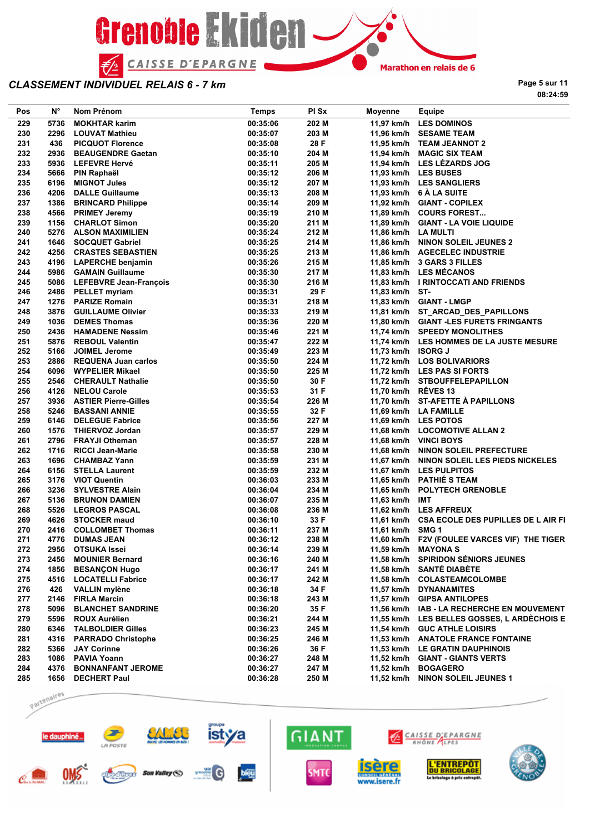

**Page 5 sur 11 08:24:59**

| Pos | N°   | Nom Prénom                  | <b>Temps</b> | PI Sx | Moyenne             | Equipe                                        |
|-----|------|-----------------------------|--------------|-------|---------------------|-----------------------------------------------|
| 229 | 5736 | <b>MOKHTAR karim</b>        | 00:35:06     | 202 M |                     | 11,97 km/h LES DOMINOS                        |
| 230 | 2296 | <b>LOUVAT Mathieu</b>       | 00:35:07     | 203 M |                     | 11,96 km/h SESAME TEAM                        |
| 231 | 436  | <b>PICQUOT Florence</b>     | 00:35:08     | 28 F  |                     | 11,95 km/h TEAM JEANNOT 2                     |
| 232 | 2936 | <b>BEAUGENDRE Gaetan</b>    | 00:35:10     | 204 M |                     | 11,94 km/h MAGIC SIX TEAM                     |
| 233 | 5936 | <b>LEFEVRE Hervé</b>        | 00:35:11     | 205 M |                     | 11,94 km/h LES LÉZARDS JOG                    |
| 234 | 5666 | PIN Raphaël                 | 00:35:12     | 206 M |                     | 11,93 km/h LES BUSES                          |
| 235 | 6196 | <b>MIGNOT Jules</b>         | 00:35:12     | 207 M |                     | 11,93 km/h LES SANGLIERS                      |
| 236 | 4206 | <b>DALLE Guillaume</b>      | 00:35:13     | 208 M |                     | 11,93 km/h 6 A LA SUITE                       |
| 237 | 1386 | <b>BRINCARD Philippe</b>    | 00:35:14     | 209 M |                     | 11,92 km/h GIANT - COPILEX                    |
| 238 | 4566 | <b>PRIMEY Jeremy</b>        | 00:35:19     | 210 M |                     | 11,89 km/h COURS FOREST                       |
| 239 |      | 1156 CHARLOT Simon          | 00:35:20     | 211 M |                     | 11,89 km/h GIANT - LA VOIE LIQUIDE            |
| 240 |      | 5276 ALSON MAXIMILIEN       | 00:35:24     | 212 M | 11,86 km/h LA MULTI |                                               |
| 241 | 1646 | <b>SOCQUET Gabriel</b>      | 00:35:25     | 214 M |                     | 11,86 km/h NINON SOLEIL JEUNES 2              |
| 242 |      | 4256 CRASTES SEBASTIEN      | 00:35:25     | 213 M |                     | 11,86 km/h AGECELEC INDUSTRIE                 |
| 243 |      | 4196 LAPERCHE benjamin      | 00:35:26     | 215 M |                     | 11,85 km/h 3 GARS 3 FILLES                    |
| 244 |      | 5986 GAMAIN Guillaume       | 00:35:30     | 217 M |                     | 11,83 km/h LES MECANOS                        |
| 245 |      | 5086 LEFEBVRE Jean-François | 00:35:30     | 216 M |                     | 11,83 km/h I RINTOCCATI AND FRIENDS           |
| 246 |      | 2486 PELLET myriam          | 00:35:31     | 29 F  | 11,83 km/h ST-      |                                               |
| 247 |      | 1276 PARIZE Romain          | 00:35:31     | 218 M |                     | 11,83 km/h GIANT - LMGP                       |
| 248 |      | 3876 GUILLAUME Olivier      | 00:35:33     | 219 M |                     | 11,81 km/h ST_ARCAD_DES_PAPILLONS             |
| 249 | 1036 | <b>DEMES Thomas</b>         | 00:35:36     | 220 M |                     | 11,80 km/h GIANT-LES FURETS FRINGANTS         |
| 250 | 2436 | <b>HAMADENE Nessim</b>      | 00:35:46     | 221 M |                     | 11,74 km/h SPEEDY MONOLITHES                  |
| 251 |      | 5876 REBOUL Valentin        | 00:35:47     | 222 M |                     | 11,74 km/h LES HOMMES DE LA JUSTE MESURE      |
| 252 |      | 5166 JOIMEL Jerome          | 00:35:49     | 223 M | 11,73 km/h ISORG J  |                                               |
| 253 | 2886 | <b>REQUENA Juan carlos</b>  | 00:35:50     | 224 M |                     | 11,72 km/h LOS BOLIVARIORS                    |
| 254 |      | 6096 WYPELIER Mikael        | 00:35:50     | 225 M |                     | 11,72 km/h LES PAS SI FORTS                   |
| 255 |      | 2546 CHERAULT Nathalie      | 00:35:50     | 30 F  |                     | 11,72 km/h STBOUFFELEPAPILLON                 |
| 256 | 4126 | <b>NELOU Carole</b>         | 00:35:53     | 31 F  | 11,70 km/h RÊVES 13 |                                               |
| 257 |      | 3936 ASTIER Pierre-Gilles   | 00:35:54     | 226 M |                     | 11,70 km/h ST-AFETTE À PAPILLONS              |
| 258 | 5246 | <b>BASSANI ANNIE</b>        | 00:35:55     | 32 F  |                     | 11,69 km/h LA FAMILLE                         |
| 259 | 6146 | <b>DELEGUE Fabrice</b>      | 00:35:56     | 227 M |                     | 11,69 km/h LES POTOS                          |
| 260 |      | 1576 THIERVOZ Jordan        | 00:35:57     | 229 M |                     | 11,68 km/h LOCOMOTIVE ALLAN 2                 |
| 261 |      | 2796 FRAYJI Otheman         | 00:35:57     | 228 M |                     | 11,68 km/h VINCI BOYS                         |
| 262 | 1716 | <b>RICCI Jean-Marie</b>     | 00:35:58     | 230 M |                     | 11,68 km/h NINON SOLEIL PREFECTURE            |
| 263 |      | 1696 CHAMBAZ Yann           | 00:35:59     | 231 M |                     | 11,67 km/h NINON SOLEIL LES PIEDS NICKELES    |
| 264 |      | 6156 STELLA Laurent         | 00:35:59     | 232 M |                     | 11,67 km/h LES PULPITOS                       |
| 265 |      | 3176 VIOT Quentin           | 00:36:03     | 233 M |                     | 11,65 km/h PATHIÉ S TEAM                      |
| 266 |      | 3236 SYLVESTRE Alain        | 00:36:04     | 234 M |                     | 11,65 km/h POLYTECH GRENOBLE                  |
| 267 | 5136 | <b>BRUNON DAMIEN</b>        | 00:36:07     | 235 M | 11,63 km/h IMT      |                                               |
| 268 | 5526 | <b>LEGROS PASCAL</b>        | 00:36:08     | 236 M |                     | 11,62 km/h LES AFFREUX                        |
| 269 |      | 4626 STOCKER maud           | 00:36:10     | 33 F  |                     | 11,61 km/h CSA ECOLE DES PUPILLES DE L AIR FI |
| 270 |      | 2416 COLLOMBET Thomas       | 00:36:11     | 237 M | 11,61 km/h SMG 1    |                                               |
| 271 |      | 4776 DUMAS JEAN             | 00:36:12     | 238 M |                     | 11,60 km/h F2V (FOULEE VARCES VIF) THE TIGER  |
| 272 |      | 2956 OTSUKA Issei           | 00:36:14     | 239 M |                     | 11,59 km/h MAYONA S                           |
| 273 | 2456 | <b>MOUNIER Bernard</b>      | 00:36:16     | 240 M |                     | 11,58 km/h SPIRIDON SÉNIORS JEUNES            |
| 274 | 1856 | <b>BESANÇON Hugo</b>        | 00:36:17     | 241 M |                     | 11,58 km/h SANTÉ DIABÈTE                      |
| 275 | 4516 | <b>LOCATELLI Fabrice</b>    | 00:36:17     | 242 M |                     | 11,58 km/h COLASTEAMCOLOMBE                   |
| 276 | 426  | <b>VALLIN</b> mylène        | 00:36:18     | 34 F  |                     | 11,57 km/h DYNANAMITES                        |
| 277 | 2146 | <b>FIRLA Marcin</b>         | 00:36:18     | 243 M |                     | 11,57 km/h GIPSA ANTILOPES                    |
| 278 | 5096 | <b>BLANCHET SANDRINE</b>    | 00:36:20     | 35 F  |                     | 11,56 km/h IAB - LA RECHERCHE EN MOUVEMENT    |
| 279 | 5596 | <b>ROUX Aurélien</b>        | 00:36:21     | 244 M |                     | 11,55 km/h LES BELLES GOSSES, L ARDECHOIS E   |
| 280 |      | 6346 TALBOLDIER Gilles      | 00:36:23     | 245 M |                     | 11,54 km/h GUC ATHLE LOISIRS                  |
| 281 |      | 4316 PARRADO Christophe     | 00:36:25     | 246 M |                     | 11,53 km/h ANATOLE FRANCE FONTAINE            |
| 282 |      | 5366 JAY Corinne            | 00:36:26     | 36 F  |                     | 11,53 km/h LE GRATIN DAUPHINOIS               |
| 283 |      | 1086 PAVIA Yoann            | 00:36:27     | 248 M |                     | 11,52 km/h GIANT - GIANTS VERTS               |
| 284 | 4376 | <b>BONNANFANT JEROME</b>    | 00:36:27     | 247 M |                     | 11,52 km/h BOGAGERO                           |
| 285 |      | 1656 DECHERT Paul           | 00:36:28     | 250 M |                     | 11,52 km/h NINON SOLEIL JEUNES 1              |
|     |      |                             |              |       |                     |                                               |

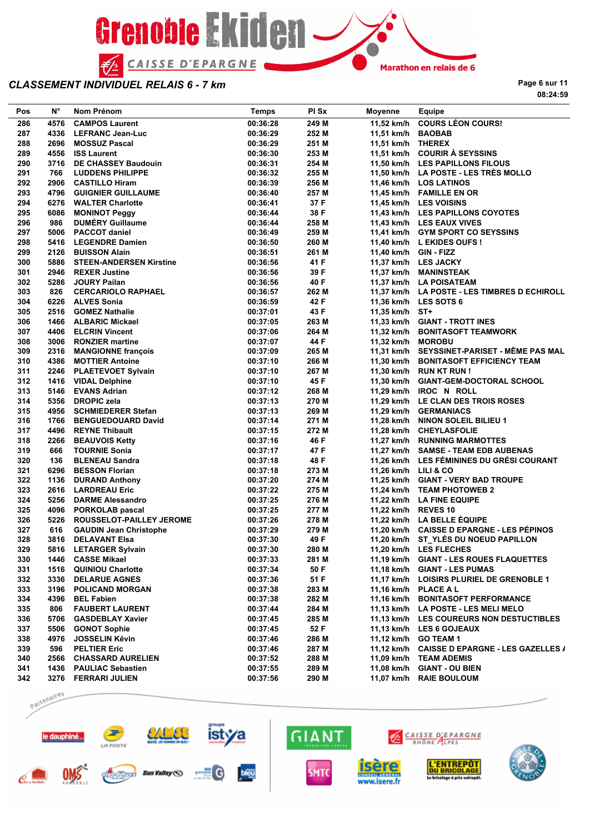

**Page 6 sur 11 08:24:59**

| Pos | N°   | Nom Prénom                     | <b>Temps</b> | PI Sx | Moyenne               | Equipe                                       |
|-----|------|--------------------------------|--------------|-------|-----------------------|----------------------------------------------|
| 286 | 4576 | <b>CAMPOS Laurent</b>          | 00:36:28     | 249 M |                       | 11,52 km/h COURS LÉON COURS!                 |
| 287 | 4336 | <b>LEFRANC Jean-Luc</b>        | 00:36:29     | 252 M | 11,51 km/h BAOBAB     |                                              |
| 288 | 2696 | <b>MOSSUZ Pascal</b>           | 00:36:29     | 251 M | 11,51 km/h THEREX     |                                              |
| 289 | 4556 | <b>ISS Laurent</b>             | 00:36:30     | 253 M |                       | 11,51 km/h COURIR À SEYSSINS                 |
| 290 | 3716 | <b>DE CHASSEY Baudouin</b>     | 00:36:31     | 254 M |                       | 11,50 km/h LES PAPILLONS FILOUS              |
| 291 | 766  | <b>LUDDENS PHILIPPE</b>        | 00:36:32     | 255 M |                       | 11,50 km/h LA POSTE - LES TRÈS MOLLO         |
| 292 |      | 2906 CASTILLO Hiram            | 00:36:39     | 256 M |                       | 11,46 km/h LOS LATINOS                       |
| 293 | 4796 | <b>GUIGNIER GUILLAUME</b>      | 00:36:40     | 257 M |                       | 11,45 km/h FAMILLE EN OR                     |
| 294 |      | 6276 WALTER Charlotte          | 00:36:41     | 37 F  |                       | 11,45 km/h LES VOISINS                       |
| 295 | 6086 | <b>MONINOT Peggy</b>           | 00:36:44     | 38 F  |                       | 11.43 km/h LES PAPILLONS COYOTES             |
| 296 | 986  | <b>DUMERY Guillaume</b>        | 00:36:44     | 258 M |                       | 11,43 km/h LES EAUX VIVES                    |
| 297 | 5006 | <b>PACCOT daniel</b>           | 00:36:49     | 259 M |                       | 11,41 km/h GYM SPORT CO SEYSSINS             |
| 298 | 5416 | <b>LEGENDRE Damien</b>         | 00:36:50     | 260 M |                       | 11.40 km/h L EKIDES OUFS !                   |
| 299 | 2126 | <b>BUISSON Alain</b>           | 00:36:51     | 261 M | 11,40 km/h GIN - FIZZ |                                              |
| 300 | 5886 | <b>STEEN-ANDERSEN Kirstine</b> | 00:36:56     | 41 F  |                       | 11,37 km/h LES JACKY                         |
| 301 | 2946 | <b>REXER Justine</b>           | 00:36:56     | 39 F  |                       | 11,37 km/h MANINSTEAK                        |
| 302 | 5286 | <b>JOURY Pailan</b>            | 00:36:56     | 40 F  |                       | 11,37 km/h LA POISATEAM                      |
| 303 | 826  | <b>CERCARIOLO RAPHAEL</b>      | 00:36:57     | 262 M |                       | 11,37 km/h LA POSTE - LES TIMBRES D ECHIROLL |
| 304 |      | 6226 ALVES Sonia               | 00:36:59     | 42 F  |                       | 11,36 km/h LES SOTS 6                        |
| 305 | 2516 | <b>GOMEZ Nathalie</b>          | 00:37:01     | 43 F  | 11,35 km/h ST+        |                                              |
|     |      |                                |              |       |                       |                                              |
| 306 | 1466 | ALBARIC Mickael                | 00:37:05     | 263 M |                       | 11,33 km/h GIANT - TROTT INES                |
| 307 | 4406 | <b>ELCRIN Vincent</b>          | 00:37:06     | 264 M |                       | 11,32 km/h BONITASOFT TEAMWORK               |
| 308 | 3006 | <b>RONZIER martine</b>         | 00:37:07     | 44 F  | 11,32 km/h MOROBU     |                                              |
| 309 |      | 2316 MANGIONNE françois        | 00:37:09     | 265 M |                       | 11,31 km/h SEYSSINET-PARISET - MËME PAS MAL  |
| 310 |      | 4386 MOTTIER Antoine           | 00:37:10     | 266 M |                       | 11,30 km/h BONITASOFT EFFICIENCY TEAM        |
| 311 | 2246 | <b>PLAETEVOET Sylvain</b>      | 00:37:10     | 267 M |                       | 11,30 km/h RUN KT RUN !                      |
| 312 |      | 1416 VIDAL Delphine            | 00:37:10     | 45 F  |                       | 11,30 km/h GIANT-GEM-DOCTORAL SCHOOL         |
| 313 | 5146 | <b>EVANS Adrian</b>            | 00:37:12     | 268 M |                       | 11,29 km/h IROC N ROLL                       |
| 314 | 5356 | <b>DROPIC zela</b>             | 00:37:13     | 270 M |                       | 11,29 km/h LE CLAN DES TROIS ROSES           |
| 315 |      | 4956 SCHMIEDERER Stefan        | 00:37:13     | 269 M |                       | 11,29 km/h GERMANIACS                        |
| 316 |      | 1766 BENGUEDOUARD David        | 00:37:14     | 271 M |                       | 11,28 km/h NINON SOLEIL BILIEU 1             |
| 317 |      | 4496 REYNE Thibault            | 00:37:15     | 272 M |                       | 11,28 km/h CHEYLASFOLIE                      |
| 318 | 2266 | <b>BEAUVOIS Ketty</b>          | 00:37:16     | 46 F  |                       | 11,27 km/h RUNNING MARMOTTES                 |
| 319 | 666  | <b>TOURNIE Sonia</b>           | 00:37:17     | 47 F  |                       | 11,27 km/h SAMSE - TEAM EDB AUBENAS          |
| 320 | 136  | <b>BLENEAU Sandra</b>          | 00:37:18     | 48 F  |                       | 11,26 km/h LES FÉMININES DU GRÉSI COURANT    |
| 321 | 6296 | <b>BESSON Florian</b>          | 00:37:18     | 273 M | 11,26 km/h LILI & CO  |                                              |
| 322 | 1136 | <b>DURAND Anthony</b>          | 00:37:20     | 274 M |                       | 11,25 km/h GIANT - VERY BAD TROUPE           |
| 323 | 2616 | <b>LARDREAU Eric</b>           | 00:37:22     | 275 M |                       | 11,24 km/h TEAM PHOTOWEB 2                   |
| 324 | 5256 | <b>DARME Alessandro</b>        | 00:37:25     | 276 M |                       | 11,22 km/h LA FINE EQUIPE                    |
| 325 |      | 4096 PORKOLAB pascal           | 00:37:25     | 277 M | 11,22 km/h REVES 10   |                                              |
| 326 | 5226 | ROUSSELOT-PAILLEY JEROME       | 00:37:26     | 278 M |                       | 11,22 km/h LA BELLE ÉQUIPE                   |
| 327 | 616  | <b>GAUDIN Jean Christophe</b>  | 00:37:29     | 279 M |                       | 11,20 km/h CAISSE D EPARGNE - LES PÉPINOS    |
| 328 |      | 3816 DELAVANT Elsa             | 00:37:30     | 49 F  |                       | 11,20 km/h ST YLÉS DU NOEUD PAPILLON         |
| 329 |      | 5816 LETARGER Sylvain          | 00:37:30     | 280 M |                       | 11,20 km/h LES FLECHES                       |
| 330 |      | 1446 CASSE Mikael              | 00:37:33     | 281 M |                       | 11,19 km/h GIANT - LES ROUES FLAQUETTES      |
| 331 |      | 1516 QUINIOU Charlotte         | 00:37:34     | 50 F  |                       | 11,18 km/h GIANT - LES PUMAS                 |
| 332 |      | 3336 DELARUE AGNES             | 00:37:36     | 51 F  |                       | 11,17 km/h LOISIRS PLURIEL DE GRENOBLE 1     |
| 333 |      | 3196 POLICAND MORGAN           | 00:37:38     | 283 M |                       | 11,16 km/h PLACE A L                         |
| 334 |      | 4396 BEL Fabien                | 00:37:38     | 282 M |                       | 11,16 km/h BONITASOFT PERFORMANCE            |
| 335 |      | 806 FAUBERT LAURENT            | 00:37:44     | 284 M |                       | 11,13 km/h LA POSTE - LES MELI MELO          |
| 336 |      | 5706 GASDEBLAY Xavier          | 00:37:45     | 285 M |                       | 11,13 km/h LES COUREURS NON DESTUCTIBLES     |
| 337 |      | 5506 GONOT Sophie              | 00:37:45     | 52 F  |                       | 11,13 km/h LES 6 GOJEAUX                     |
| 338 |      | 4976 JOSSELIN Kévin            | 00:37:46     | 286 M |                       | 11,12 km/h GO TEAM 1                         |
| 339 |      | 596 PELTIER Eric               | 00:37:46     | 287 M |                       | 11,12 km/h CAISSE D EPARGNE - LES GAZELLES / |
| 340 |      | 2566 CHASSARD AURELIEN         | 00:37:52     | 288 M |                       | 11,09 km/h TEAM ADEMIS                       |
| 341 |      | 1436 PAULIAC Sebastien         | 00:37:55     | 289 M |                       | 11,08 km/h GIANT - OU BIEN                   |
| 342 |      | 3276 FERRARI JULIEN            | 00:37:56     | 290 M |                       | 11,07 km/h RAIE BOULOUM                      |
|     |      |                                |              |       |                       |                                              |

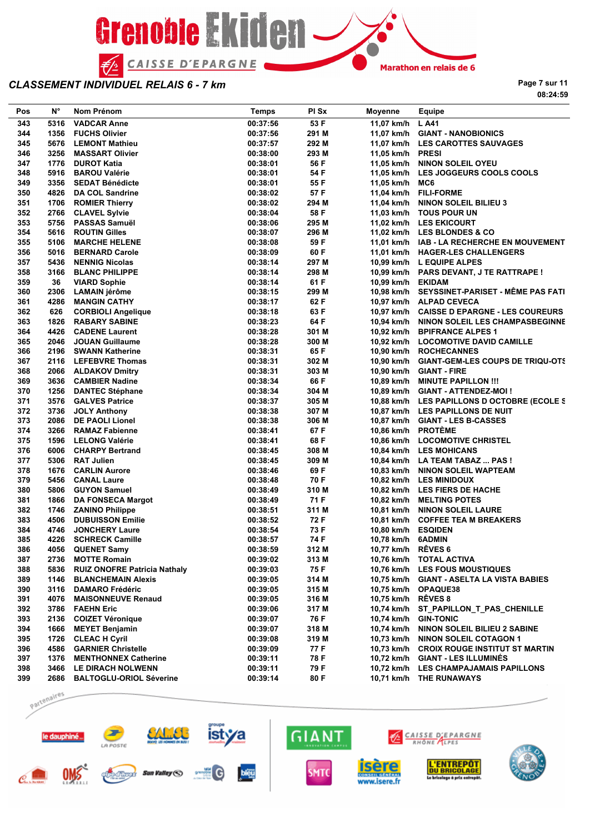

**Page 7 sur 11 08:24:59**

| Pos | N°   | Nom Prénom                          | Temps    | PI Sx | Moyenne              | Equipe                                       |
|-----|------|-------------------------------------|----------|-------|----------------------|----------------------------------------------|
| 343 | 5316 | <b>VADCAR Anne</b>                  | 00:37:56 | 53 F  | 11,07 km/h           | L A41                                        |
| 344 | 1356 | <b>FUCHS Olivier</b>                | 00:37:56 | 291 M |                      | 11,07 km/h GIANT - NANOBIONICS               |
| 345 | 5676 | <b>LEMONT Mathieu</b>               | 00:37:57 | 292 M |                      | 11,07 km/h LES CAROTTES SAUVAGES             |
| 346 | 3256 | <b>MASSART Olivier</b>              | 00:38:00 | 293 M | 11,05 km/h PRESI     |                                              |
| 347 | 1776 | <b>DUROT Katia</b>                  | 00:38:01 | 56 F  |                      | 11,05 km/h NINON SOLEIL OYEU                 |
| 348 | 5916 | <b>BAROU Valérie</b>                | 00:38:01 | 54 F  | 11,05 km/h           | LES JOGGEURS COOLS COOLS                     |
| 349 | 3356 | <b>SEDAT Bénédicte</b>              | 00:38:01 | 55 F  | 11,05 km/h MC6       |                                              |
| 350 | 4826 | <b>DA COL Sandrine</b>              | 00:38:02 | 57 F  |                      | 11,04 km/h FILI-FORME                        |
| 351 | 1706 | <b>ROMIER Thierry</b>               | 00:38:02 | 294 M |                      | 11,04 km/h NINON SOLEIL BILIEU 3             |
| 352 | 2766 | <b>CLAVEL Sylvie</b>                | 00:38:04 | 58 F  |                      | 11,03 km/h TOUS POUR UN                      |
| 353 | 5756 | <b>PASSAS Samuël</b>                | 00:38:06 | 295 M |                      | 11,02 km/h LES EKICOURT                      |
| 354 | 5616 | <b>ROUTIN Gilles</b>                | 00:38:07 | 296 M |                      | 11,02 km/h LES BLONDES & CO                  |
| 355 | 5106 | <b>MARCHE HELENE</b>                | 00:38:08 | 59 F  |                      | 11,01 km/h IAB - LA RECHERCHE EN MOUVEMENT   |
| 356 | 5016 | <b>BERNARD Carole</b>               | 00:38:09 | 60 F  |                      | 11,01 km/h HAGER-LES CHALLENGERS             |
| 357 | 5436 | <b>NENNIG Nicolas</b>               | 00:38:14 | 297 M |                      | 10,99 km/h L EQUIPE ALPES                    |
| 358 | 3166 | <b>BLANC PHILIPPE</b>               | 00:38:14 | 298 M |                      | 10,99 km/h PARS DEVANT, J TE RATTRAPE !      |
| 359 | 36   | <b>VIARD Sophie</b>                 | 00:38:14 | 61 F  | 10,99 km/h EKIDAM    |                                              |
| 360 | 2306 | <b>LAMAIN jérôme</b>                | 00:38:15 | 299 M |                      | 10,98 km/h SEYSSINET-PARISET - MÊME PAS FATI |
| 361 | 4286 | <b>MANGIN CATHY</b>                 | 00:38:17 | 62 F  |                      | 10,97 km/h ALPAD CEVECA                      |
| 362 | 626  | <b>CORBIOLI Angelique</b>           | 00:38:18 | 63 F  |                      | 10,97 km/h CAISSE D EPARGNE - LES COUREURS   |
| 363 | 1826 | <b>RABARY SABINE</b>                | 00:38:23 | 64 F  |                      | 10,94 km/h NINON SOLEIL LES CHAMPASBEGINNE   |
| 364 | 4426 | <b>CADENE Laurent</b>               | 00:38:28 | 301 M |                      | 10,92 km/h BPIFRANCE ALPES 1                 |
| 365 | 2046 | <b>JOUAN Guillaume</b>              | 00:38:28 | 300 M |                      | 10,92 km/h LOCOMOTIVE DAVID CAMILLE          |
| 366 | 2196 | <b>SWANN Katherine</b>              | 00:38:31 | 65 F  |                      | 10,90 km/h ROCHECANNES                       |
| 367 | 2116 | <b>LEFEBVRE Thomas</b>              | 00:38:31 | 302 M |                      | 10,90 km/h GIANT-GEM-LES COUPS DE TRIQU-OTS  |
| 368 |      | 2066 ALDAKOV Dmitry                 | 00:38:31 | 303 M |                      | 10,90 km/h GIANT - FIRE                      |
| 369 | 3636 | <b>CAMBIER Nadine</b>               | 00:38:34 | 66 F  |                      | 10,89 km/h MINUTE PAPILLON !!!               |
| 370 | 1256 | <b>DANTEC Stéphane</b>              | 00:38:34 | 304 M |                      | 10,89 km/h GIANT - ATTENDEZ-MOI !            |
| 371 | 3576 | <b>GALVES Patrice</b>               | 00:38:37 | 305 M |                      | 10,88 km/h LES PAPILLONS D OCTOBRE (ECOLE S  |
| 372 | 3736 | <b>JOLY Anthony</b>                 | 00:38:38 | 307 M |                      | 10,87 km/h LES PAPILLONS DE NUIT             |
| 373 | 2086 | <b>DE PAOLI Lionel</b>              | 00:38:38 | 306 M |                      | 10,87 km/h GIANT - LES B-CASSES              |
| 374 | 3266 | <b>RAMAZ Fabienne</b>               | 00:38:41 | 67 F  | 10,86 km/h PROTÈME   |                                              |
| 375 | 1596 | <b>LELONG Valérie</b>               | 00:38:41 | 68 F  |                      | 10,86 km/h LOCOMOTIVE CHRISTEL               |
| 376 | 6006 | <b>CHARPY Bertrand</b>              | 00:38:45 | 308 M |                      | 10,84 km/h LES MOHICANS                      |
| 377 | 5306 | <b>RAT Julien</b>                   | 00:38:45 | 309 M |                      | 10,84 km/h LA TEAM TABAZ  PAS !              |
| 378 | 1676 | <b>CARLIN Aurore</b>                | 00:38:46 | 69 F  |                      | 10,83 km/h NINON SOLEIL WAPTEAM              |
| 379 | 5456 | <b>CANAL Laure</b>                  | 00:38:48 | 70 F  |                      | 10,82 km/h LES MINIDOUX                      |
| 380 | 5806 | <b>GUYON Samuel</b>                 | 00:38:49 | 310 M |                      | 10,82 km/h LES FIERS DE HACHE                |
| 381 | 1866 | <b>DA FONSECA Margot</b>            | 00:38:49 | 71 F  |                      | 10,82 km/h MELTING POTES                     |
| 382 | 1746 | <b>ZANINO Philippe</b>              | 00:38:51 | 311 M |                      | 10,81 km/h NINON SOLEIL LAURE                |
| 383 | 4506 | <b>DUBUISSON Emilie</b>             | 00:38:52 | 72 F  |                      | 10,81 km/h COFFEE TEA M BREAKERS             |
| 384 | 4746 | <b>JONCHERY Laure</b>               | 00:38:54 | 73 F  | 10,80 km/h ESQIDEN   |                                              |
| 385 | 4226 | <b>SCHRECK Camille</b>              | 00:38:57 | 74 F  | 10,78 km/h 6ADMIN    |                                              |
| 386 |      | 4056 QUENET Samy                    | 00:38:59 | 312 M | 10,77 km/h RÊVES 6   |                                              |
| 387 | 2736 | <b>MOTTE Romain</b>                 | 00:39:02 | 313 M |                      | 10,76 km/h TOTAL ACTIVA                      |
| 388 | 5836 | <b>RUIZ ONOFRE Patricia Nathaly</b> | 00:39:03 | 75 F  |                      | 10,76 km/h LES FOUS MOUSTIQUES               |
| 389 | 1146 | <b>BLANCHEMAIN Alexis</b>           | 00:39:05 | 314 M |                      | 10,75 km/h GIANT - ASELTA LA VISTA BABIES    |
| 390 | 3116 | <b>DAMARO Frédéric</b>              | 00:39:05 | 315 M |                      | 10,75 km/h OPAQUE38                          |
| 391 | 4076 | <b>MAISONNEUVE Renaud</b>           | 00:39:05 | 316 M | 10,75 km/h RÊVES 8   |                                              |
| 392 | 3786 | <b>FAEHN Eric</b>                   | 00:39:06 | 317 M |                      | 10,74 km/h ST_PAPILLON_T_PAS_CHENILLE        |
| 393 | 2136 | <b>COIZET Véronique</b>             | 00:39:07 | 76 F  | 10,74 km/h GIN-TONIC |                                              |
| 394 | 1666 | <b>MEYET Benjamin</b>               | 00:39:07 | 318 M |                      | 10,74 km/h NINON SOLEIL BILIEU 2 SABINE      |
| 395 | 1726 | <b>CLEAC H Cyril</b>                | 00:39:08 | 319 M |                      | 10,73 km/h NINON SOLEIL COTAGON 1            |
| 396 | 4586 | <b>GARNIER Christelle</b>           | 00:39:09 | 77 F  |                      | 10,73 km/h CROIX ROUGE INSTITUT ST MARTIN    |
| 397 | 1376 | <b>MENTHONNEX Catherine</b>         | 00:39:11 | 78 F  |                      | 10,72 km/h GIANT - LES ILLUMINES             |
| 398 | 3466 | <b>LE DIRACH NOLWENN</b>            | 00:39:11 | 79 F  |                      | 10,72 km/h LES CHAMPAJAMAIS PAPILLONS        |
| 399 | 2686 | <b>BALTOGLU-ORIOL Séverine</b>      | 00:39:14 | 80 F  |                      | 10,71 km/h THE RUNAWAYS                      |
|     |      |                                     |          |       |                      |                                              |

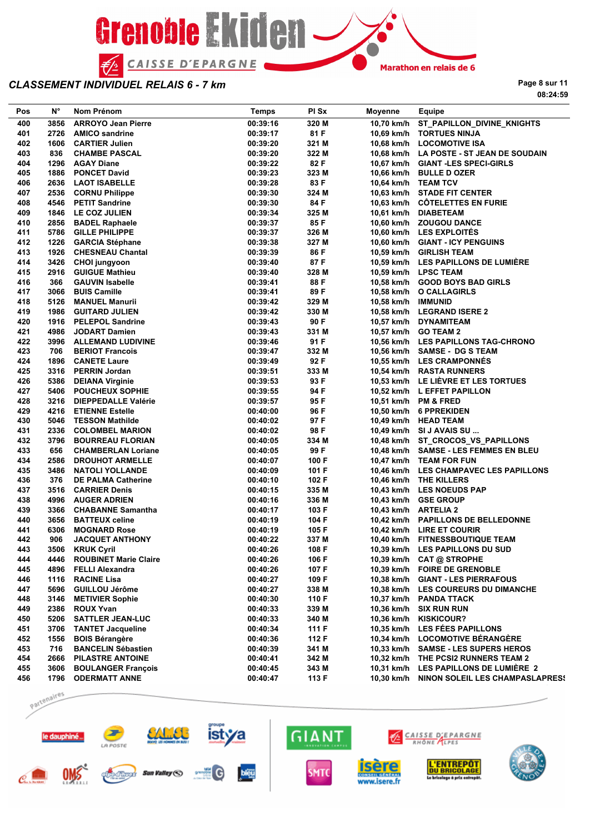

**Page 8 sur 11 08:24:59**

| Pos | N°   | Nom Prénom                   | <b>Temps</b> | PI Sx | Moyenne             | Equipe                                   |
|-----|------|------------------------------|--------------|-------|---------------------|------------------------------------------|
| 400 | 3856 | <b>ARROYO Jean Pierre</b>    | 00:39:16     | 320 M | 10,70 km/h          | ST_PAPILLON_DIVINE_KNIGHTS               |
| 401 | 2726 | <b>AMICO sandrine</b>        | 00:39:17     | 81 F  |                     | 10,69 km/h TORTUES NINJA                 |
| 402 | 1606 | <b>CARTIER Julien</b>        | 00:39:20     | 321 M |                     | 10,68 km/h LOCOMOTIVE ISA                |
| 403 | 836  | <b>CHAMBE PASCAL</b>         | 00:39:20     | 322 M |                     | 10,68 km/h LA POSTE - ST JEAN DE SOUDAIN |
| 404 | 1296 | <b>AGAY Diane</b>            | 00:39:22     | 82 F  |                     | 10.67 km/h GIANT-LES SPECI-GIRLS         |
| 405 | 1886 | <b>PONCET David</b>          | 00:39:23     | 323 M |                     | 10,66 km/h BULLE D OZER                  |
| 406 | 2636 | <b>LAOT ISABELLE</b>         | 00:39:28     | 83 F  | 10,64 km/h TEAM TCV |                                          |
| 407 | 2536 | <b>CORNU Philippe</b>        | 00:39:30     | 324 M |                     | 10,63 km/h STADE FIT CENTER              |
| 408 | 4546 | <b>PETIT Sandrine</b>        | 00:39:30     | 84 F  |                     | 10,63 km/h CÖTELETTES EN FURIE           |
| 409 | 1846 | LE COZ JULIEN                | 00:39:34     | 325 M |                     | 10,61 km/h DIABETEAM                     |
| 410 | 2856 | <b>BADEL Raphaele</b>        | 00:39:37     | 85 F  |                     | 10,60 km/h ZOUGOU DANCE                  |
| 411 | 5786 | <b>GILLE PHILIPPE</b>        | 00:39:37     | 326 M |                     | 10,60 km/h LES EXPLOITÉS                 |
| 412 | 1226 | <b>GARCIA Stéphane</b>       | 00:39:38     | 327 M |                     | 10,60 km/h GIANT - ICY PENGUINS          |
| 413 | 1926 | <b>CHESNEAU Chantal</b>      | 00:39:39     | 86 F  |                     | 10,59 km/h GIRLISH TEAM                  |
| 414 | 3426 | CHOI jungyoon                | 00:39:40     | 87 F  |                     | 10,59 km/h LES PAPILLONS DE LUMIÈRE      |
| 415 | 2916 | <b>GUIGUE Mathieu</b>        | 00:39:40     | 328 M |                     | 10,59 km/h LPSC TEAM                     |
| 416 | 366  | <b>GAUVIN Isabelle</b>       | 00:39:41     | 88 F  |                     | 10,58 km/h GOOD BOYS BAD GIRLS           |
| 417 | 3066 | <b>BUIS Camille</b>          | 00:39:41     | 89 F  |                     | 10,58 km/h O CALLAGIRLS                  |
| 418 | 5126 | <b>MANUEL Manurii</b>        | 00:39:42     | 329 M | 10,58 km/h IMMUNID  |                                          |
| 419 | 1986 | <b>GUITARD JULIEN</b>        | 00:39:42     | 330 M |                     | 10,58 km/h LEGRAND ISERE 2               |
| 420 | 1916 | <b>PELEPOL Sandrine</b>      | 00:39:43     | 90 F  |                     | 10,57 km/h DYNAMITEAM                    |
| 421 | 4986 | <b>JODART Damien</b>         | 00:39:43     | 331 M |                     | 10,57 km/h GO TEAM 2                     |
| 422 | 3996 | <b>ALLEMAND LUDIVINE</b>     | 00:39:46     | 91 F  |                     | 10,56 km/h LES PAPILLONS TAG-CHRONO      |
| 423 | 706  | <b>BERIOT Francois</b>       | 00:39:47     | 332 M |                     | 10,56 km/h SAMSE - DG S TEAM             |
| 424 | 1896 | <b>CANETE Laure</b>          | 00:39:49     | 92 F  |                     | 10.55 km/h LES CRAMPONNES                |
| 425 | 3316 | <b>PERRIN Jordan</b>         | 00:39:51     | 333 M |                     | 10,54 km/h RASTA RUNNERS                 |
| 426 | 5386 | <b>DEIANA Virginie</b>       | 00:39:53     | 93 F  |                     | 10.53 km/h LE LIÈVRE ET LES TORTUES      |
| 427 | 5406 | <b>POUCHEUX SOPHIE</b>       | 00:39:55     | 94 F  |                     | 10,52 km/h L EFFET PAPILLON              |
| 428 | 3216 | <b>DIEPPEDALLE Valérie</b>   | 00:39:57     | 95 F  |                     | 10,51 km/h PM & FRED                     |
| 429 | 4216 | <b>ETIENNE Estelle</b>       | 00:40:00     | 96 F  |                     | 10,50 km/h 6 PPREKIDEN                   |
| 430 | 5046 | <b>TESSON Mathilde</b>       | 00:40:02     | 97 F  |                     | 10,49 km/h HEAD TEAM                     |
| 431 | 2336 | <b>COLOMBEL MARION</b>       | 00:40:02     | 98 F  |                     | 10,49 km/h SI J AVAIS SU                 |
| 432 | 3796 | <b>BOURREAU FLORIAN</b>      | 00:40:05     | 334 M |                     | 10,48 km/h ST_CROCOS_VS_PAPILLONS        |
| 433 | 656  | <b>CHAMBERLAN Loriane</b>    | 00:40:05     | 99 F  |                     | 10,48 km/h SAMSE - LES FEMMES EN BLEU    |
| 434 | 2586 | <b>DROUHOT ARMELLE</b>       | 00:40:07     | 100 F |                     | 10,47 km/h TEAM FOR FUN                  |
| 435 | 3486 | <b>NATOLI YOLLANDE</b>       | 00:40:09     | 101 F |                     | 10,46 km/h LES CHAMPAVEC LES PAPILLONS   |
| 436 | 376  | <b>DE PALMA Catherine</b>    | 00:40:10     | 102 F |                     | 10,46 km/h THE KILLERS                   |
| 437 | 3516 | <b>CARRIER Denis</b>         | 00:40:15     | 335 M |                     | 10,43 km/h LES NOEUDS PAP                |
| 438 | 4996 | <b>AUGER ADRIEN</b>          | 00:40:16     | 336 M |                     | 10,43 km/h GSE GROUP                     |
| 439 | 3366 | <b>CHABANNE Samantha</b>     | 00:40:17     | 103 F |                     | 10,43 km/h ARTELIA 2                     |
| 440 |      | 3656 BATTEUX celine          | 00:40:19     | 104 F |                     | 10,42 km/h PAPILLONS DE BELLEDONNE       |
| 441 | 6306 | <b>MOGNARD Rose</b>          | 00:40:19     | 105 F |                     | 10,42 km/h LIRE ET COURIR                |
| 442 | 906  | <b>JACQUET ANTHONY</b>       | 00:40:22     | 337 M |                     | 10,40 km/h FITNESSBOUTIQUE TEAM          |
| 443 |      | 3506 KRUK Cyril              | 00:40:26     | 108 F |                     | 10,39 km/h LES PAPILLONS DU SUD          |
| 444 | 4446 | <b>ROUBINET Marie Claire</b> | 00:40:26     | 106 F |                     | 10,39 km/h CAT @ STROPHE                 |
| 445 | 4896 | <b>FELLI Alexandra</b>       | 00:40:26     | 107 F | 10,39 km/h          | <b>FOIRE DE GRENOBLE</b>                 |
| 446 | 1116 | <b>RACINE Lisa</b>           | 00:40:27     | 109 F |                     | 10,38 km/h GIANT - LES PIERRAFOUS        |
| 447 | 5696 | GUILLOU Jérôme               | 00:40:27     | 338 M |                     | 10,38 km/h LES COUREURS DU DIMANCHE      |
| 448 | 3146 | <b>METIVIER Sophie</b>       | 00:40:30     | 110 F |                     | 10,37 km/h PANDA TTACK                   |
| 449 | 2386 | <b>ROUX Yvan</b>             | 00:40:33     | 339 M |                     | 10,36 km/h SIX RUN RUN                   |
| 450 | 5206 | <b>SATTLER JEAN-LUC</b>      | 00:40:33     | 340 M | 10,36 km/h          | <b>KISKICOUR?</b>                        |
| 451 | 3706 | <b>TANTET Jacqueline</b>     | 00:40:34     | 111 F |                     | 10,35 km/h LES FÉES PAPILLONS            |
| 452 | 1556 | <b>BOIS Bérangère</b>        | 00:40:36     | 112 F |                     | 10,34 km/h LOCOMOTIVE BÉRANGÈRE          |
| 453 | 716  | <b>BANCELIN Sébastien</b>    | 00:40:39     | 341 M |                     | 10,33 km/h SAMSE - LES SUPERS HEROS      |
| 454 | 2666 | <b>PILASTRE ANTOINE</b>      | 00:40:41     | 342 M |                     | 10,32 km/h THE PCSI2 RUNNERS TEAM 2      |
| 455 | 3606 | <b>BOULANGER François</b>    | 00:40:45     | 343 M |                     | 10,31 km/h LES PAPILLONS DE LUMIERE 2    |
| 456 | 1796 | <b>ODERMATT ANNE</b>         | 00:40:47     | 113 F | 10,30 km/h          | NINON SOLEIL LES CHAMPASLAPRES!          |

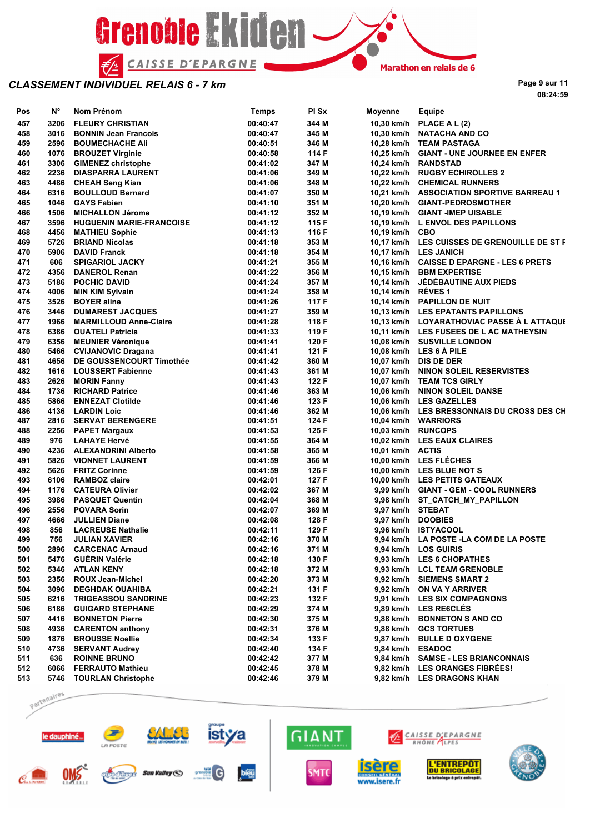

**Page 9 sur 11**

**08:24:59**

| Pos | N°   | Nom Prénom                      | <b>Temps</b> | PI Sx | Moyenne            | Equipe                                       |
|-----|------|---------------------------------|--------------|-------|--------------------|----------------------------------------------|
| 457 | 3206 | <b>FLEURY CHRISTIAN</b>         | 00:40:47     | 344 M |                    | 10,30 km/h PLACE A L (2)                     |
| 458 | 3016 | <b>BONNIN Jean Francois</b>     | 00:40:47     | 345 M |                    | 10,30 km/h NATACHA AND CO                    |
| 459 | 2596 | <b>BOUMECHACHE AII</b>          | 00:40:51     | 346 M |                    | 10,28 km/h TEAM PASTAGA                      |
| 460 | 1076 | <b>BROUZET Virginie</b>         | 00:40:58     | 114 F |                    | 10,25 km/h GIANT - UNE JOURNEE EN ENFER      |
| 461 | 3306 | <b>GIMENEZ christophe</b>       | 00:41:02     | 347 M |                    | 10,24 km/h RANDSTAD                          |
| 462 | 2236 | <b>DIASPARRA LAURENT</b>        | 00:41:06     | 349 M |                    | 10,22 km/h RUGBY ECHIROLLES 2                |
| 463 |      | 4486 CHEAH Seng Kian            | 00:41:06     | 348 M |                    | 10,22 km/h CHEMICAL RUNNERS                  |
| 464 | 6316 | <b>BOULLOUD Bernard</b>         | 00:41:07     | 350 M |                    | 10,21 km/h ASSOCIATION SPORTIVE BARREAU 1    |
| 465 | 1046 | <b>GAYS Fabien</b>              | 00:41:10     | 351 M |                    | 10,20 km/h GIANT-PEDROSMOTHER                |
| 466 | 1506 | <b>MICHALLON Jérome</b>         | 00:41:12     | 352 M |                    | 10,19 km/h GIANT-IMEP UISABLE                |
| 467 | 3596 | <b>HUGUENIN MARIE-FRANCOISE</b> | 00:41:12     | 115 F |                    | 10,19 km/h L ENVOL DES PAPILLONS             |
| 468 | 4456 | <b>MATHIEU Sophie</b>           | 00:41:13     | 116 F | 10,19 km/h CBO     |                                              |
| 469 | 5726 | <b>BRIAND Nicolas</b>           | 00:41:18     | 353 M |                    | 10,17 km/h LES CUISSES DE GRENOUILLE DE ST F |
| 470 | 5906 | <b>DAVID Franck</b>             | 00:41:18     | 354 M |                    | 10,17 km/h LES JANICH                        |
| 471 | 606  | <b>SPIGARIOL JACKY</b>          | 00:41:21     | 355 M |                    | 10,16 km/h CAISSE D EPARGNE - LES 6 PRETS    |
| 472 | 4356 | <b>DANEROL Renan</b>            | 00:41:22     | 356 M |                    | 10,15 km/h BBM EXPERTISE                     |
| 473 | 5186 | <b>POCHIC DAVID</b>             | 00:41:24     | 357 M |                    | 10,14 km/h JÉDÉBAUTINE AUX PIEDS             |
| 474 |      |                                 |              |       | 10,14 km/h RÊVES 1 |                                              |
|     | 4006 | <b>MIN KIM Sylvain</b>          | 00:41:24     | 358 M |                    |                                              |
| 475 | 3526 | <b>BOYER</b> aline              | 00:41:26     | 117 F |                    | 10,14 km/h PAPILLON DE NUIT                  |
| 476 | 3446 | <b>DUMAREST JACQUES</b>         | 00:41:27     | 359 M |                    | 10.13 km/h LES EPATANTS PAPILLONS            |
| 477 | 1966 | <b>MARMILLOUD Anne-Claire</b>   | 00:41:28     | 118 F |                    | 10,13 km/h LOYARATHOVIAC PASSE A L ATTAQUE   |
| 478 |      | 6386 OUATELI Patricia           | 00:41:33     | 119 F |                    | 10,11 km/h LES FUSEES DE L AC MATHEYSIN      |
| 479 | 6356 | <b>MEUNIER Véronique</b>        | 00:41:41     | 120 F |                    | 10,08 km/h SUSVILLE LONDON                   |
| 480 |      | 5466 CVIJANOVIC Dragana         | 00:41:41     | 121 F |                    | 10,08 km/h LES 6 A PILE                      |
| 481 | 4656 | DE GOUSSENCOURT Timothée        | 00:41:42     | 360 M |                    | 10.07 km/h DIS DE DER                        |
| 482 |      | 1616 LOUSSERT Fabienne          | 00:41:43     | 361 M |                    | 10,07 km/h NINON SOLEIL RESERVISTES          |
| 483 | 2626 | <b>MORIN Fanny</b>              | 00:41:43     | 122 F |                    | 10,07 km/h TEAM TCS GIRLY                    |
| 484 |      | 1736 RICHARD Patrice            | 00:41:46     | 363 M |                    | 10,06 km/h NINON SOLEIL DANSE                |
| 485 | 5866 | <b>ENNEZAT Clotilde</b>         | 00:41:46     | 123 F |                    | 10,06 km/h LES GAZELLES                      |
| 486 |      | 4136 LARDIN Loic                | 00:41:46     | 362 M |                    | 10,06 km/h LES BRESSONNAIS DU CROSS DES CH   |
| 487 |      | 2816 SERVAT BERENGERE           | 00:41:51     | 124 F |                    | 10,04 km/h WARRIORS                          |
| 488 |      | 2256 PAPET Margaux              | 00:41:53     | 125 F | 10,03 km/h RUNCOPS |                                              |
| 489 | 976  | <b>LAHAYE Hervé</b>             | 00:41:55     | 364 M |                    | 10,02 km/h LES EAUX CLAIRES                  |
| 490 |      | 4236 ALEXANDRINI Alberto        | 00:41:58     | 365 M | 10,01 km/h ACTIS   |                                              |
| 491 |      | 5826 VIONNET LAURENT            | 00:41:59     | 366 M |                    | 10,00 km/h LES FLÈCHES                       |
| 492 |      | 5626 FRITZ Corinne              | 00:41:59     | 126 F |                    | 10,00 km/h LES BLUE NOT S                    |
| 493 |      | 6106 RAMBOZ claire              | 00:42:01     | 127 F |                    | 10,00 km/h LES PETITS GATEAUX                |
| 494 |      | 1176 CATEURA Olivier            | 00:42:02     | 367 M |                    | 9,99 km/h GIANT - GEM - COOL RUNNERS         |
| 495 |      | 3986 PASQUET Quentin            | 00:42:04     | 368 M |                    | 9,98 km/h ST CATCH MY PAPILLON               |
| 496 | 2556 | <b>POVARA Sorin</b>             | 00:42:07     | 369 M | 9,97 km/h STEBAT   |                                              |
| 497 | 4666 | <b>JULLIEN Diane</b>            | 00:42:08     | 128 F | 9,97 km/h DOOBIES  |                                              |
| 498 | 856  | <b>LACREUSE Nathalie</b>        | 00:42:11     | 129 F |                    | 9,96 km/h ISTYACOOL                          |
| 499 | 756  | <b>JULIAN XAVIER</b>            | 00:42:16     | 370 M |                    | 9,94 km/h LA POSTE -LA COM DE LA POSTE       |
| 500 |      | 2896 CARCENAC Arnaud            | 00:42:16     | 371 M |                    | 9,94 km/h LOS GUIRIS                         |
| 501 |      | 5476 GUÉRIN Valérie             | 00:42:18     | 130 F |                    | 9,93 km/h LES 6 CHOPATHES                    |
| 502 |      | 5346 ATLAN KENY                 | 00:42:18     | 372 M |                    | 9,93 km/h LCL TEAM GRENOBLE                  |
| 503 |      | 2356 ROUX Jean-Michel           | 00:42:20     | 373 M |                    | 9,92 km/h SIEMENS SMART 2                    |
| 504 |      | 3096 DEGHDAK OUAHIBA            | 00:42:21     | 131 F |                    | 9,92 km/h ON VA Y ARRIVER                    |
| 505 |      | 6216 TRIGEASSOU SANDRINE        | 00:42:23     | 132 F |                    | 9,91 km/h LES SIX COMPAGNONS                 |
| 506 |      | 6186 GUIGARD STEPHANE           | 00:42:29     | 374 M |                    | 9,89 km/h LES RE6CLES                        |
|     |      |                                 |              |       |                    |                                              |
| 507 |      | 4416 BONNETON Pierre            | 00:42:30     | 375 M |                    | 9,88 km/h BONNETON S AND CO                  |
| 508 |      | 4936 CARENTON anthony           | 00:42:31     | 376 M |                    | 9,88 km/h GCS TORTUES                        |
| 509 |      | 1876 BROUSSE Noellie            | 00:42:34     | 133 F |                    | 9,87 km/h BULLE D OXYGENE                    |
| 510 |      | 4736 SERVANT Audrey             | 00:42:40     | 134 F | 9,84 km/h ESADOC   |                                              |
| 511 | 636  | <b>ROINNE BRUNO</b>             | 00:42:42     | 377 M |                    | 9,84 km/h SAMSE - LES BRIANCONNAIS           |
| 512 |      | 6066 FERRAUTO Mathieu           | 00:42:45     | 378 M |                    | 9,82 km/h LES ORANGES FIBRÉES!               |
| 513 |      | 5746 TOURLAN Christophe         | 00:42:46     | 379 M |                    | 9,82 km/h LES DRAGONS KHAN                   |

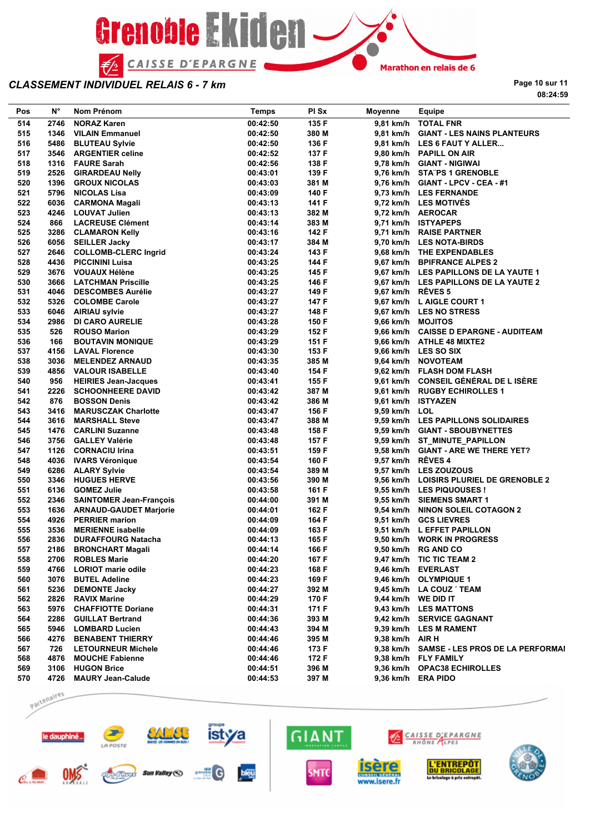

**Page 10 sur 11 08:24:59**

| Pos | N°   | Nom Prénom                                  | <b>Temps</b> | PI Sx | Moyenne           | Equipe                                     |
|-----|------|---------------------------------------------|--------------|-------|-------------------|--------------------------------------------|
| 514 | 2746 | <b>NORAZ Karen</b>                          | 00:42:50     | 135 F |                   | 9,81 km/h TOTAL FNR                        |
| 515 | 1346 | <b>VILAIN Emmanuel</b>                      | 00:42:50     | 380 M |                   | 9,81 km/h GIANT - LES NAINS PLANTEURS      |
| 516 | 5486 | <b>BLUTEAU Sylvie</b>                       | 00:42:50     | 136 F |                   | 9,81 km/h LES 6 FAUT Y ALLER               |
| 517 | 3546 | <b>ARGENTIER celine</b>                     | 00:42:52     | 137 F |                   | 9,80 km/h PAPILL ON AIR                    |
| 518 |      | 1316 FAURE Sarah                            | 00:42:56     | 138 F |                   | 9,78 km/h GIANT - NIGIWAI                  |
| 519 |      | 2526 GIRARDEAU Nelly                        | 00:43:01     | 139 F |                   | 9,76 km/h STATPS 1 GRENOBLE                |
| 520 | 1396 | <b>GROUX NICOLAS</b>                        | 00:43:03     | 381 M |                   | 9,76 km/h GIANT - LPCV - CEA - #1          |
| 521 |      | 5796 NICOLAS Lisa                           | 00:43:09     | 140 F |                   | 9,73 km/h LES FERNANDE                     |
| 522 |      | 6036 CARMONA Magali                         | 00:43:13     | 141 F |                   | 9,72 km/h LES MOTIVÉS                      |
| 523 | 4246 | <b>LOUVAT Julien</b>                        | 00:43:13     | 382 M |                   | 9,72 km/h AEROCAR                          |
| 524 | 866  | <b>LACREUSE Clément</b>                     | 00:43:14     | 383 M |                   | 9,71 km/h ISTYAPEPS                        |
| 525 |      | 3286 CLAMARON Kelly                         | 00:43:16     | 142 F |                   | 9,71 km/h RAISE PARTNER                    |
| 526 | 6056 | <b>SEILLER Jacky</b>                        | 00:43:17     | 384 M |                   | 9,70 km/h LES NOTA-BIRDS                   |
| 527 |      | 2646 COLLOMB-CLERC Ingrid                   | 00:43:24     | 143 F |                   | 9,68 km/h THE EXPENDABLES                  |
| 528 |      | 4436 PICCININI Luisa                        | 00:43:25     | 144 F |                   | 9,67 km/h BPIFRANCE ALPES 2                |
| 529 | 3676 | <b>VOUAUX Hélène</b>                        | 00:43:25     | 145 F |                   | 9,67 km/h LES PAPILLONS DE LA YAUTE 1      |
| 530 |      | 3666 LATCHMAN Priscille                     | 00:43:25     | 146 F |                   | 9,67 km/h LES PAPILLONS DE LA YAUTE 2      |
| 531 | 4046 | <b>DESCOMBES Aurélie</b>                    | 00:43:27     | 149 F | 9,67 km/h RÊVES 5 |                                            |
| 532 | 5326 |                                             |              |       |                   |                                            |
| 533 |      | <b>COLOMBE Carole</b><br>6046 AIRIAU sylvie | 00:43:27     | 147 F |                   | 9,67 km/h L AIGLE COURT 1                  |
|     |      |                                             | 00:43:27     | 148 F |                   | 9,67 km/h LES NO STRESS                    |
| 534 | 2986 | <b>DI CARO AURELIE</b>                      | 00:43:28     | 150 F | 9,66 km/h MOJITOS |                                            |
| 535 | 526  | <b>ROUSO Marion</b>                         | 00:43:29     | 152 F |                   | 9.66 km/h CAISSE D EPARGNE - AUDITEAM      |
| 536 | 166  | <b>BOUTAVIN MONIQUE</b>                     | 00:43:29     | 151 F |                   | 9,66 km/h ATHLE 48 MIXTE2                  |
| 537 | 4156 | <b>LAVAL Florence</b>                       | 00:43:30     | 153 F |                   | 9,66 km/h LES SO SIX                       |
| 538 | 3036 | <b>MELENDEZ ARNAUD</b>                      | 00:43:35     | 385 M |                   | 9,64 km/h NOVOTEAM                         |
| 539 |      | 4856 VALOUR ISABELLE                        | 00:43:40     | 154 F |                   | 9,62 km/h FLASH DOM FLASH                  |
| 540 | 956  | <b>HEIRIES Jean-Jacques</b>                 | 00:43:41     | 155 F |                   | 9,61 km/h CONSEIL GÉNÉRAL DE L ISÈRE       |
| 541 | 2226 | <b>SCHOONHEERE DAVID</b>                    | 00:43:42     | 387 M |                   | 9,61 km/h RUGBY ECHIROLLES 1               |
| 542 | 876  | <b>BOSSON Denis</b>                         | 00:43:42     | 386 M |                   | 9,61 km/h ISTYAZEN                         |
| 543 | 3416 | <b>MARUSCZAK Charlotte</b>                  | 00:43:47     | 156 F | 9,59 km/h LOL     |                                            |
| 544 | 3616 | <b>MARSHALL Steve</b>                       | 00:43:47     | 388 M |                   | 9,59 km/h LES PAPILLONS SOLIDAIRES         |
| 545 |      | 1476 CARLINI Suzanne                        | 00:43:48     | 158 F |                   | 9,59 km/h GIANT - SBOUBYNETTES             |
| 546 |      | 3756 GALLEY Valérie                         | 00:43:48     | 157 F |                   | 9,59 km/h ST_MINUTE_PAPILLON               |
| 547 | 1126 | <b>CORNACIU Irina</b>                       | 00:43:51     | 159 F |                   | 9,58 km/h GIANT - ARE WE THERE YET?        |
| 548 |      | 4036 IVARS Véronique                        | 00:43:54     | 160 F | 9,57 km/h RÊVES 4 |                                            |
| 549 |      | 6286 ALARY Sylvie                           | 00:43:54     | 389 M |                   | 9,57 km/h LES ZOUZOUS                      |
| 550 | 3346 | <b>HUGUES HERVE</b>                         | 00:43:56     | 390 M |                   | 9,56 km/h LOISIRS PLURIEL DE GRENOBLE 2    |
| 551 |      | 6136 GOMEZ Julie                            | 00:43:58     | 161 F |                   | 9,55 km/h LES PIQUOUSES !                  |
| 552 |      | 2346 SAINTOMER Jean-François                | 00:44:00     | 391 M |                   | 9,55 km/h SIEMENS SMART 1                  |
| 553 |      | 1636 ARNAUD-GAUDET Marjorie                 | 00:44:01     | 162 F |                   | 9,54 km/h NINON SOLEIL COTAGON 2           |
| 554 |      | 4926 PERRIER marion                         | 00:44:09     | 164 F |                   | 9,51 km/h GCS LIEVRES                      |
| 555 | 3536 | <b>MERIENNE isabelle</b>                    | 00:44:09     | 163 F |                   | 9,51 km/h L EFFET PAPILLON                 |
| 556 | 2836 | <b>DURAFFOURG Natacha</b>                   | 00:44:13     | 165 F |                   | 9,50 km/h WORK IN PROGRESS                 |
| 557 |      | 2186 BRONCHART Magali                       | 00:44:14     | 166 F |                   | 9,50 km/h RG AND CO                        |
| 558 |      | 2706 ROBLES Marie                           | 00:44:20     | 167 F |                   | 9,47 km/h TIC TIC TEAM 2                   |
| 559 |      | 4766 LORIOT marie odile                     | 00:44:23     | 168 F |                   | 9,46 km/h EVERLAST                         |
| 560 | 3076 | <b>BUTEL Adeline</b>                        | 00:44:23     | 169 F |                   | 9,46 km/h OLYMPIQUE 1                      |
| 561 | 5236 | <b>DEMONTE Jacky</b>                        | 00:44:27     | 392 M |                   | 9,45 km/h LA COUZ TEAM                     |
| 562 | 2826 | <b>RAVIX Marine</b>                         | 00:44:29     | 170 F |                   | 9,44 km/h WE DID IT                        |
| 563 |      | 5976 CHAFFIOTTE Doriane                     | 00:44:31     | 171 F |                   | 9,43 km/h LES MATTONS                      |
| 564 | 2286 |                                             |              |       |                   |                                            |
|     |      | <b>GUILLAT Bertrand</b>                     | 00:44:36     | 393 M |                   | 9,42 km/h SERVICE GAGNANT                  |
| 565 | 5946 | <b>LOMBARD Lucien</b>                       | 00:44:43     | 394 M |                   | 9,39 km/h LES M RAMENT                     |
| 566 |      | 4276 BENABENT THIERRY                       | 00:44:46     | 395 M | 9,38 km/h AIR H   |                                            |
| 567 | 726  | <b>LETOURNEUR Michele</b>                   | 00:44:46     | 173 F |                   | 9,38 km/h SAMSE - LES PROS DE LA PERFORMAI |
| 568 | 4876 | <b>MOUCHE Fabienne</b>                      | 00:44:46     | 172 F |                   | 9.38 km/h FLY FAMILY                       |
| 569 |      | 3106 HUGON Brice                            | 00:44:51     | 396 M |                   | 9,36 km/h OPAC38 ECHIROLLES                |
| 570 |      | 4726 MAURY Jean-Calude                      | 00:44:53     | 397 M |                   | 9,36 km/h ERA PIDO                         |